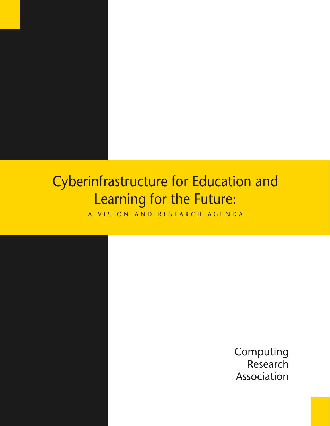# Cyberinfrastructure for Education and Learning for the Future:

A VISION AND RESEARCH AGENDA

Computing Research Association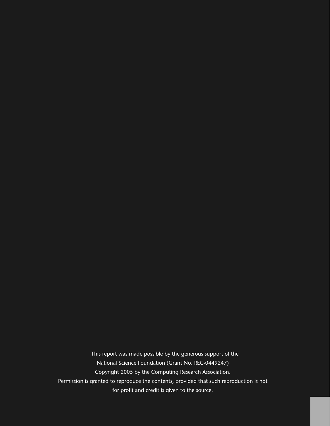This report was made possible by the generous support of the National Science Foundation (Grant No. REC-0449247) Copyright 2005 by the Computing Research Association. Permission is granted to reproduce the contents, provided that such reproduction is not for profit and credit is given to the source.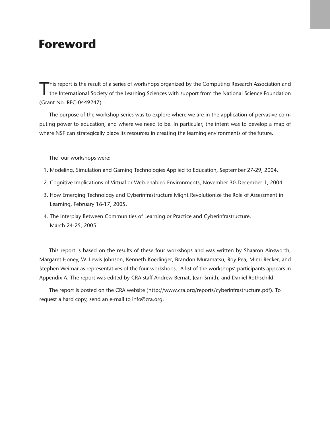### **Foreword**

This report is the result of a series of workshops organized by the Computing Research Association and the International Society of the Learning Sciences with support from the National Science Foundation (Grant No. REC-0449247).

The purpose of the workshop series was to explore where we are in the application of pervasive computing power to education, and where we need to be. In particular, the intent was to develop a map of where NSF can strategically place its resources in creating the learning environments of the future.

The four workshops were:

- 1. Modeling, Simulation and Gaming Technologies Applied to Education, September 27-29, 2004.
- 2. Cognitive Implications of Virtual or Web-enabled Environments, November 30-December 1, 2004.
- 3. How Emerging Technology and Cyberinfrastructure Might Revolutionize the Role of Assessment in Learning, February 16-17, 2005.
- 4. The Interplay Between Communities of Learning or Practice and Cyberinfrastructure, March 24-25, 2005.

This report is based on the results of these four workshops and was written by Shaaron Ainsworth, Margaret Honey, W. Lewis Johnson, Kenneth Koedinger, Brandon Muramatsu, Roy Pea, Mimi Recker, and Stephen Weimar as representatives of the four workshops. A list of the workshops' participants appears in Appendix A. The report was edited by CRA staff Andrew Bernat, Jean Smith, and Daniel Rothschild.

The report is posted on the CRA website (http://www.cra.org/reports/cyberinfrastructure.pdf). To request a hard copy, send an e-mail to info@cra.org.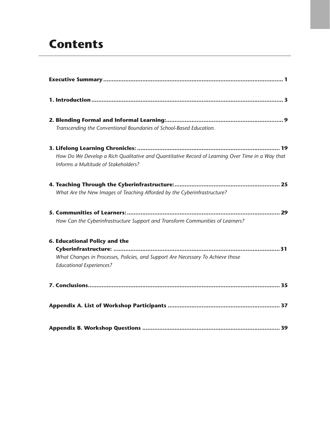### **Contents**

| Transcending the Conventional Boundaries of School-Based Education.                                                                                 |  |
|-----------------------------------------------------------------------------------------------------------------------------------------------------|--|
| How Do We Develop a Rich Qualitative and Quantitative Record of Learning Over Time in a Way that<br>Informs a Multitude of Stakeholders?            |  |
| What Are the New Images of Teaching Afforded by the Cyberinfrastructure?                                                                            |  |
| How Can the Cyberinfrastructure Support and Transform Communities of Learners?                                                                      |  |
| 6. Educational Policy and the<br>What Changes in Processes, Policies, and Support Are Necessary To Achieve those<br><b>Educational Experiences?</b> |  |
|                                                                                                                                                     |  |
|                                                                                                                                                     |  |
|                                                                                                                                                     |  |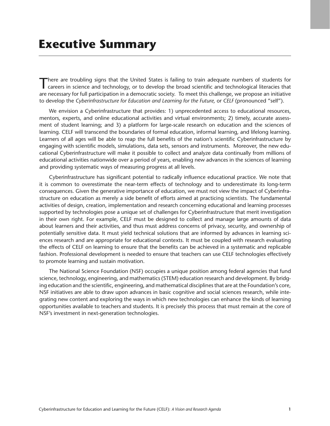There are troubling signs that the United States is failing to train adequate numbers of students for careers in science and technology, or to develop the broad scientific and technological literacies that are necessary for full participation in a democratic society. To meet this challenge, we propose an initiative to develop the *Cyberinfrastructure for Education and Learning for the Future,* or *CELF* (pronounced "self").

We envision a Cyberinfrastructure that provides: 1) unprecedented access to educational resources, mentors, experts, and online educational activities and virtual environments; 2) timely, accurate assessment of student learning; and 3) a platform for large-scale research on education and the sciences of learning. CELF will transcend the boundaries of formal education, informal learning, and lifelong learning. Learners of all ages will be able to reap the full benefits of the nation's scientific Cyberinfrastructure by engaging with scientific models, simulations, data sets, sensors and instruments. Moreover, the new educational Cyberinfrastructure will make it possible to collect and analyze data continually from millions of educational activities nationwide over a period of years, enabling new advances in the sciences of learning and providing systematic ways of measuring progress at all levels.

Cyberinfrastructure has significant potential to radically influence educational practice. We note that it is common to overestimate the near-term effects of technology and to underestimate its long-term consequences. Given the generative importance of education, we must not view the impact of Cyberinfrastructure on education as merely a side benefit of efforts aimed at practicing scientists. The fundamental activities of design, creation, implementation and research concerning educational and learning processes supported by technologies pose a unique set of challenges for Cyberinfrastructure that merit investigation in their own right. For example, CELF must be designed to collect and manage large amounts of data about learners and their activities, and thus must address concerns of privacy, security, and ownership of potentially sensitive data. It must yield technical solutions that are informed by advances in learning sciences research and are appropriate for educational contexts. It must be coupled with research evaluating the effects of CELF on learning to ensure that the benefits can be achieved in a systematic and replicable fashion. Professional development is needed to ensure that teachers can use CELF technologies effectively to promote learning and sustain motivation.

The National Science Foundation (NSF) occupies a unique position among federal agencies that fund science, technology, engineering, and mathematics (STEM) education research and development. By bridging education and the scientific, engineering, and mathematical disciplines that are at the Foundation's core, NSF initiatives are able to draw upon advances in basic cognitive and social sciences research, while integrating new content and exploring the ways in which new technologies can enhance the kinds of learning opportunities available to teachers and students. It is precisely this process that must remain at the core of NSF's investment in next-generation technologies.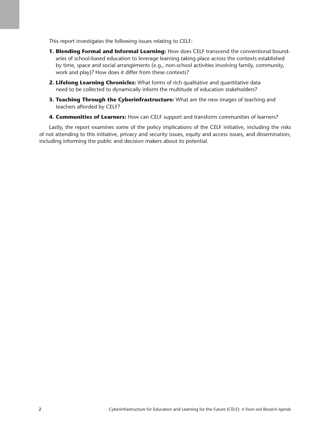This report investigates the following issues relating to CELF:

- **1. Blending Formal and Informal Learning:** How does CELF transcend the conventional boundaries of school-based education to leverage learning taking place across the contexts established by time, space and social arrangements (e.g., non-school activities involving family, community, work and play)? How does it differ from these contexts?
- **2. Lifelong Learning Chronicles:** What forms of rich qualitative and quantitative data need to be collected to dynamically inform the multitude of education stakeholders?
- **3. Teaching Through the Cyberinfrastructure:** What are the new images of teaching and teachers afforded by CELF?
- **4. Communities of Learners:** How can CELF support and transform communities of learners?

Lastly, the report examines some of the policy implications of the CELF initiative, including the risks of not attending to this initiative, privacy and security issues, equity and access issues, and dissemination, including informing the public and decision makers about its potential.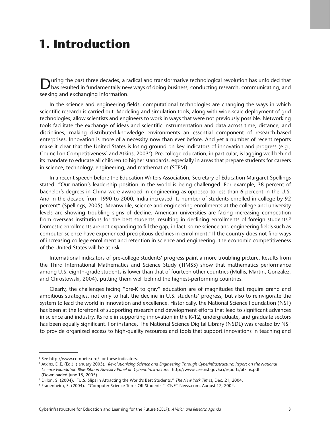### **1. Introduction**

During the past three decades, a radical and transformative technological revolution has unfolded that has resulted in fundamentally new ways of doing business, conducting research, communicating, and seeking and exchanging information.

In the science and engineering fields, computational technologies are changing the ways in which scientific research is carried out. Modeling and simulation tools, along with wide-scale deployment of grid technologies, allow scientists and engineers to work in ways that were not previously possible. Networking tools facilitate the exchange of ideas and scientific instrumentation and data across time, distance, and disciplines, making distributed-knowledge environments an essential component of research-based enterprises. Innovation is more of a necessity now than ever before. And yet a number of recent reports make it clear that the United States is losing ground on key indicators of innovation and progress (e.g., Council on Competitiveness<sup>1</sup> and Atkins, 2003<sup>2</sup>). Pre-college education, in particular, is lagging well behind its mandate to educate all children to higher standards, especially in areas that prepare students for careers in science, technology, engineering, and mathematics (STEM).

In a recent speech before the Education Writers Association, Secretary of Education Margaret Spellings stated: "Our nation's leadership position in the world is being challenged. For example, 38 percent of bachelor's degrees in China were awarded in engineering as opposed to less than 6 percent in the U.S. And in the decade from 1990 to 2000, India increased its number of students enrolled in college by 92 percent" (Spellings, 2005). Meanwhile, science and engineering enrollments at the college and university levels are showing troubling signs of decline. American universities are facing increasing competition from overseas institutions for the best students, resulting in declining enrollments of foreign students.<sup>3</sup> Domestic enrollments are not expanding to fill the gap; in fact, some science and engineering fields such as computer science have experienced precipitous declines in enrollment.<sup>4</sup> If the country does not find ways of increasing college enrollment and retention in science and engineering, the economic competitiveness of the United States will be at risk.

International indicators of pre-college students' progress paint a more troubling picture. Results from the Third International Mathematics and Science Study (TIMSS) show that mathematics performance among U.S. eighth-grade students is lower than that of fourteen other countries (Mullis, Martin, Gonzalez, and Chrostowski, 2004), putting them well behind the highest-performing countries.

Clearly, the challenges facing "pre-K to gray" education are of magnitudes that require grand and ambitious strategies, not only to halt the decline in U.S. students' progress, but also to reinvigorate the system to lead the world in innovation and excellence. Historically, the National Science Foundation (NSF) has been at the forefront of supporting research and development efforts that lead to significant advances in science and industry. Its role in supporting innovation in the K-12, undergraduate, and graduate sectors has been equally significant. For instance, The National Science Digital Library (NSDL) was created by NSF to provide organized access to high-quality resources and tools that support innovations in teaching and

<sup>&</sup>lt;sup>1</sup> See http://www.compete.org/ for these indicators.

<sup>2</sup> Atkins, D.E. (Ed.). (January 2003). *Revolutionizing Science and Engineering Through Cyberinfrastructure: Report on the National Science Foundation Blue-Ribbon Advisory Panel on Cyberinfrastructure*. http://www.cise.nsf.gov/sci/reports/atkins.pdf (Downloaded June 15, 2005).

<sup>3</sup> Dillon, S. (2004). "U.S. Slips in Attracting the World's Best Students." *The New York Times*, Dec. 21, 2004.

<sup>4</sup> Frauenheim, E. (2004). "Computer Science Turns Off Students." CNET News.com, August 12, 2004.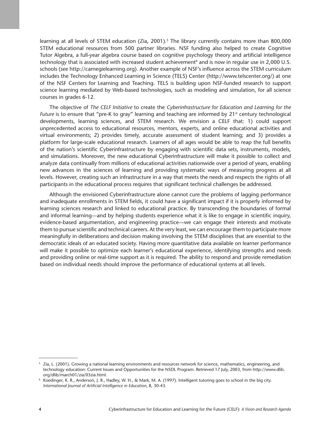learning at all levels of STEM education (Zia, 2001).<sup>5</sup> The library currently contains more than 800,000 STEM educational resources from 500 partner libraries. NSF funding also helped to create Cognitive Tutor Algebra, a full-year algebra course based on cognitive psychology theory and artificial intelligence technology that is associated with increased student achievement<sup>6</sup> and is now in regular use in 2,000 U.S. schools (see http://carnegielearning.org). Another example of NSF's influence across the STEM curriculum includes the Technology Enhanced Learning in Science (TELS) Center (http://www.telscenter.org/) at one of the NSF Centers for Learning and Teaching. TELS is building upon NSF-funded research to support science learning mediated by Web-based technologies, such as modeling and simulation, for all science courses in grades 6-12.

The objective of *The CELF Initiative* to create the *Cyberinfrastructure for Education and Learning for the Future* is to ensure that "pre-K to gray" learning and teaching are informed by 21<sup>st</sup> century technological developments, learning sciences, and STEM research. We envision a CELF that: 1) could support unprecedented access to educational resources, mentors, experts, and online educational activities and virtual environments; 2) provides timely, accurate assessment of student learning; and 3) provides a platform for large-scale educational research. Learners of all ages would be able to reap the full benefits of the nation's scientific Cyberinfrastructure by engaging with scientific data sets, instruments, models, and simulations. Moreover, the new educational Cyberinfrastructure will make it possible to collect and analyze data continually from millions of educational activities nationwide over a period of years, enabling new advances in the sciences of learning and providing systematic ways of measuring progress at all levels. However, creating such an infrastructure in a way that meets the needs and respects the rights of all participants in the educational process requires that significant technical challenges be addressed.

Although the envisioned Cyberinfrastructure alone cannot cure the problems of lagging performance and inadequate enrollments in STEM fields, it could have a significant impact if it is properly informed by learning sciences research and linked to educational practice. By transcending the boundaries of formal and informal learning—and by helping students experience what it is like to engage in scientific inquiry, evidence-based argumentation, and engineering practice—we can engage their interests and motivate them to pursue scientific and technical careers. At the very least, we can encourage them to participate more meaningfully in deliberations and decision making involving the STEM disciplines that are essential to the democratic ideals of an educated society. Having more quantitative data available on learner performance will make it possible to optimize each learner's educational experience, identifying strengths and needs and providing online or real-time support as it is required. The ability to respond and provide remediation based on individual needs should improve the performance of educational systems at all levels.

 $5$  Zia, L. (2001). Growing a national learning environments and resources network for science, mathematics, engineering, and technology education: Current Issues and Opportunities for the NSDL Program. Retrieved 17 July, 2003, from http://www.dlib. org/dlib/march01/zia/03zia.html.

<sup>6</sup> Koedinger, K. R., Anderson, J. R., Hadley, W. H., & Mark, M. A. (1997). Intelligent tutoring goes to school in the big city. *International Journal of Artificial Intelligence in Education*, 8, 30-43.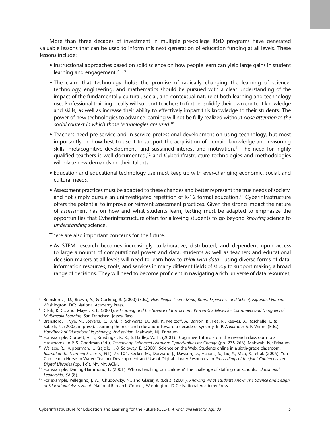More than three decades of investment in multiple pre-college R&D programs have generated valuable lessons that can be used to inform this next generation of education funding at all levels. These lessons include:

- Instructional approaches based on solid science on how people learn can yield large gains in student learning and engagement.<sup>7, 8, 9</sup>
- The claim that technology holds the promise of radically changing the learning of science, technology, engineering, and mathematics should be pursued with a clear understanding of the impact of the fundamentally cultural, social, and contextual nature of both learning and technology use. Professional training ideally will support teachers to further solidify their own content knowledge and skills, as well as increase their ability to effectively impart this knowledge to their students. The power of new technologies to advance learning will not be fully realized without *close attention to the social context in which those technologies are used*. 10
- Teachers need pre-service and in-service professional development on using technology, but most importantly on how best to use it to support the acquisition of domain knowledge and reasoning skills, metacognitive development, and sustained interest and motivation.<sup>11</sup> The need for highly qualified teachers is well documented,<sup>12</sup> and Cyberinfrastructure technologies and methodologies will place new demands on their talents.
- Education and educational technology use must keep up with ever-changing economic, social, and cultural needs.
- Assessment practices must be adapted to these changes and better represent the true needs of society, and not simply pursue an uninvestigated repetition of K-12 formal education.<sup>13</sup> Cyberinfrastructure offers the potential to improve or reinvent assessment practices. Given the strong impact the nature of assessment has on how and what students learn, testing must be adapted to emphasize the opportunities that Cyberinfrastructure offers for allowing students to go beyond *knowing* science to *understanding* science.

There are also important concerns for the future:

• As STEM research becomes increasingly collaborative, distributed, and dependent upon access to large amounts of computational power and data, students as well as teachers and educational decision makers at all levels will need to learn how to *think with data*—using diverse forms of data, information resources, tools, and services in many different fields of study to support making a broad range of decisions. They will need to become proficient in navigating a rich universe of data resources;

<sup>7</sup> Bransford, J. D., Brown, A., & Cocking, R. (2000) (Eds.), *How People Learn: Mind, Brain, Experience and School, Expanded Edition.* Washington, DC: National Academy Press.

<sup>8</sup> Clark, R. C., and Mayer, R. E. (2003). *e-Learning and the Science of Instruction : Proven Guidelines for Consumers and Designers of Multimedia Learning*. San Francisco: Jossey-Bass.

<sup>9</sup> Bransford, J., Vye, N., Stevens, R., Kuhl, P., Schwartz, D., Bell, P., Meltzoff, A., Barron, B., Pea, R., Reeves, B., Roschelle, J., & Sabelli, N. (2005, in press). Learning theories and education: Toward a decade of synergy. In P. Alexander & P. Winne (Eds.), *Handbook of Educational Psychology, 2nd edition*. Mahwah, NJ: Erlbaum.

<sup>&</sup>lt;sup>10</sup> For example, Corbett, A. T., Koedinger, K. R., & Hadley, W. H. (2001). Cognitive Tutors: From the research classroom to all<br>classrooms. In P. S. Goodman (Ed.), *Technology-Enhanced Learning: Opportunities for Change*

<sup>&</sup>lt;sup>11</sup> Wallace, R., Kupperman, J., Krajcik, J., & Soloway, E. (2000). Science on the Web: Students online in a sixth-grade classroom. *Journal of the Learning Sciences, 9*(1), 75-104. Recker, M., Dorward, J., Dawson, D., Halioris, S., Liu, Y., Mao, X., et al. (2005). You Can Lead a Horse to Water: Teacher Development and Use of Digital Library Resources. In *Proceedings of the Joint Conference on Digital Libraries* (pp. 1-9). NY, NY: ACM.

<sup>12</sup> For example, Darling-Hammond, L. (2001). Who is teaching our children? The challenge of staffing our schools. *Educational Leadership, 58* (8).

<sup>&</sup>lt;sup>13</sup> For example, Pellegrino, J. W., Chudowsky, N., and Glaser, R. (Eds.). (2001). *Knowing What Students Know: The Science and Design of Educational Assessment*. National Research Council, Washington, D.C.: National Academy Press.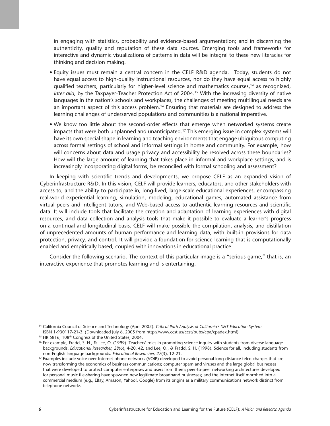in engaging with statistics, probability and evidence-based argumentation; and in discerning the authenticity, quality and reputation of these data sources. Emerging tools and frameworks for interactive and dynamic visualizations of patterns in data will be integral to these new literacies for thinking and decision making.

- Equity issues must remain a central concern in the CELF R&D agenda. Today, students do not have equal access to high-quality instructional resources, nor do they have equal access to highly qualified teachers, particularly for higher-level science and mathematics courses,<sup>14</sup> as recognized, *inter alia*, by the Taxpayer-Teacher Protection Act of 2004.15 With the increasing diversity of native languages in the nation's schools and workplaces, the challenges of meeting multilingual needs are an important aspect of this access problem.<sup>16</sup> Ensuring that materials are designed to address the learning challenges of underserved populations and communities is a national imperative.
- We know too little about the second-order effects that emerge when networked systems create impacts that were both unplanned and unanticipated.17 This emerging issue in complex systems will have its own special shape in learning and teaching environments that engage ubiquitous computing across formal settings of school and informal settings in home and community. For example, how will concerns about data and usage privacy and accessibility be resolved across these boundaries? How will the large amount of learning that takes place in informal and workplace settings, and is increasingly incorporating digital forms, be reconciled with formal schooling and assessment?

In keeping with scientific trends and developments, we propose CELF as an expanded vision of Cyberinfrastructure R&D. In this vision, CELF will provide learners, educators, and other stakeholders with access to, and the ability to participate in, long-lived, large-scale educational experiences, encompassing real-world experiential learning, simulation, modeling, educational games, automated assistance from virtual peers and intelligent tutors, and Web-based access to authentic learning resources and scientific data. It will include tools that facilitate the creation and adaptation of learning experiences with digital resources, and data collection and analysis tools that make it possible to evaluate a learner's progress on a continual and longitudinal basis. CELF will make possible the compilation, analysis, and distillation of unprecedented amounts of human performance and learning data, with built-in provisions for data protection, privacy, and control. It will provide a foundation for science learning that is computationally enabled and empirically based, coupled with innovations in educational practice.

Consider the following scenario. The context of this particular image is a "serious game," that is, an interactive experience that promotes learning and is entertaining.

<sup>14</sup> California Council of Science and Technology (April 2002). *Critical Path Analysis of California's S&T Education System*. ISBN 1-930117-21-3. (Downloaded July 6, 2005 from http://www.ccst.us/ccst/pubs/cpa/cpadex.html).<br><sup>15</sup> HR 5816, 108<sup>th</sup> Congress of the United States, 2004.

<sup>&</sup>lt;sup>16</sup> For example, Fradd, S. H., & Lee, O. (1999). Teachers' roles in promoting science inquiry with students from diverse language backgrounds. *Educational Researcher, 28*(6), 4-20, 42, and Lee, O., & Fradd, S. H. (1998). Science for all, including students from non-English language backgrounds. *Educational Researcher, 27*(3), 12-21.

<sup>&</sup>lt;sup>17</sup> Examples include voice-over-Internet phone networks (VOIP) developed to avoid personal long-distance telco charges that are now transforming the economics of business communications; computer spam and viruses and the large global businesses that were developed to protect computer enterprises and users from them; peer-to-peer networking architectures developed for personal music file-sharing have spawned new legitimate broadband businesses; and the Internet itself morphed into a commercial medium (e.g., EBay, Amazon, Yahoo!, Google) from its origins as a military communications network distinct from telephone networks.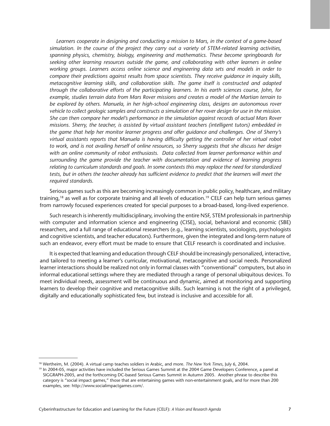*Learners cooperate in designing and conducting a mission to Mars, in the context of a game-based simulation. In the course of the project they carry out a variety of STEM-related learning activities, spanning physics, chemistry, biology, engineering and mathematics. These become springboards for seeking other learning resources outside the game, and collaborating with other learners in online working groups. Learners access online science and engineering data sets and models in order to compare their predictions against results from space scientists. They receive guidance in inquiry skills, metacognitive learning skills, and collaboration skills. The game itself is constructed and adapted through the collaborative efforts of the participating learners. In his earth sciences course, John, for example, studies terrain data from Mars Rover missions and creates a model of the Martian terrain to be explored by others. Manuela, in her high-school engineering class, designs an autonomous rover vehicle to collect geologic samples and constructs a simulation of her rover design for use in the mission. She can then compare her model's performance in the simulation against records of actual Mars Rover missions. Sherry, the teacher, is assisted by virtual assistant teachers (intelligent tutors) embedded in the game that help her monitor learner progress and offer guidance and challenges. One of Sherry's virtual assistants reports that Manuela is having difficulty getting the controller of her virtual robot to work, and is not availing herself of online resources, so Sherry suggests that she discuss her design with an online community of robot enthusiasts. Data collected from learner performance within and surrounding the game provide the teacher with documentation and evidence of learning progress relating to curriculum standards and goals. In some contexts this may replace the need for standardized tests, but in others the teacher already has sufficient evidence to predict that the learners will meet the required standards.*

Serious games such as this are becoming increasingly common in public policy, healthcare, and military training,<sup>18</sup> as well as for corporate training and all levels of education.<sup>19</sup> CELF can help turn serious games from narrowly focused experiences created for special purposes to a broad-based, long-lived experience.

Such research is inherently multidisciplinary, involving the entire NSF, STEM professionals in partnership with computer and information science and engineering (CISE), social, behavioral and economic (SBE) researchers, and a full range of educational researchers (e.g., learning scientists, sociologists, psychologists and cognitive scientists, and teacher educators). Furthermore, given the integrated and long-term nature of such an endeavor, every effort must be made to ensure that CELF research is coordinated and inclusive.

It is expected that learning and education through CELF should be increasingly personalized, interactive, and tailored to meeting a learner's curricular, motivational, metacognitive and social needs. Personalized learner interactions should be realized not only in formal classes with "conventional" computers, but also in informal educational settings where they are mediated through a range of personal ubiquitous devices. To meet individual needs, assessment will be continuous and dynamic, aimed at monitoring and supporting learners to develop their cognitive and metacognitive skills. Such learning is not the right of a privileged, digitally and educationally sophisticated few, but instead is inclusive and accessible for all.

<sup>18</sup> Wertheim, M. (2004). A virtual camp teaches soldiers in Arabic, and more. *The New York Times*, July 6, 2004.

<sup>&</sup>lt;sup>19</sup> In 2004-05, major activities have included the Serious Games Summit at the 2004 Game Developers Conference, a panel at SIGGRAPH-2005, and the forthcoming DC-based Serious Games Summit in Autumn 2005. Another phrase to describe this category is "social impact games," those that are entertaining games with non-entertainment goals, and for more than 200 examples, see: http://www.socialimpactgames.com/.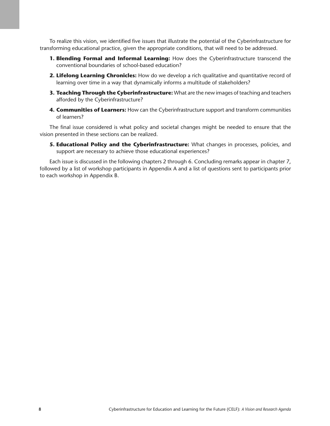To realize this vision, we identified five issues that illustrate the potential of the Cyberinfrastructure for transforming educational practice, given the appropriate conditions, that will need to be addressed.

- **1. Blending Formal and Informal Learning:** How does the Cyberinfrastructure transcend the conventional boundaries of school-based education?
- 2. Lifelong Learning Chronicles: How do we develop a rich qualitative and quantitative record of learning over time in a way that dynamically informs a multitude of stakeholders?
- **3. Teaching Through the Cyberinfrastructure:** What are the new images of teaching and teachers afforded by the Cyberinfrastructure?
- **4. Communities of Learners:** How can the Cyberinfrastructure support and transform communities of learners?

The final issue considered is what policy and societal changes might be needed to ensure that the vision presented in these sections can be realized.

**5. Educational Policy and the Cyberinfrastructure:** What changes in processes, policies, and support are necessary to achieve those educational experiences?

Each issue is discussed in the following chapters 2 through 6. Concluding remarks appear in chapter 7, followed by a list of workshop participants in Appendix A and a list of questions sent to participants prior to each workshop in Appendix B.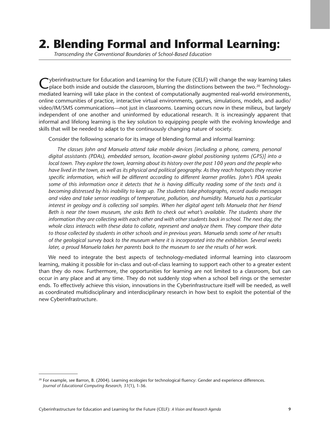### **2. Blending Formal and Informal Learning:**

*Transcending the Conventional Boundaries of School-Based Education*

yberinfrastructure for Education and Learning for the Future (CELF) will change the way learning takes place both inside and outside the classroom, blurring the distinctions between the two.<sup>20</sup> Technologymediated learning will take place in the context of computationally augmented real-world environments, online communities of practice, interactive virtual environments, games, simulations, models, and audio/ video/IM/SMS communications—not just in classrooms. Learning occurs now in these milieus, but largely independent of one another and uninformed by educational research. It is increasingly apparent that informal and lifelong learning is the key solution to equipping people with the evolving knowledge and skills that will be needed to adapt to the continuously changing nature of society.

Consider the following scenario for its image of blending formal and informal learning:

 *The classes John and Manuela attend take mobile devices [including a phone, camera, personal digital assistants (PDAs), embedded sensors, location-aware global positioning systems (GPS)] into a local town. They explore the town, learning about its history over the past 100 years and the people who have lived in the town, as well as its physical and political geography. As they reach hotspots they receive specific information, which will be different according to different learner profiles. John's PDA speaks some of this information once it detects that he is having difficulty reading some of the texts and is becoming distressed by his inability to keep up. The students take photographs, record audio messages and video and take sensor readings of temperature, pollution, and humidity. Manuela has a particular interest in geology and is collecting soil samples. When her digital agent tells Manuela that her friend Beth is near the town museum, she asks Beth to check out what's available. The students share the information they are collecting with each other and with other students back in school. The next day, the whole class interacts with these data to collate, represent and analyze them. They compare their data to those collected by students in other schools and in previous years. Manuela sends some of her results of the geological survey back to the museum where it is incorporated into the exhibition. Several weeks later, a proud Manuela takes her parents back to the museum to see the results of her work.* 

We need to integrate the best aspects of technology-mediated informal learning into classroom learning, making it possible for in-class and out-of-class learning to support each other to a greater extent than they do now. Furthermore, the opportunities for learning are not limited to a classroom, but can occur in any place and at any time. They do not suddenly stop when a school bell rings or the semester ends. To effectively achieve this vision, innovations in the Cyberinfrastructure itself will be needed, as well as coordinated multidisciplinary and interdisciplinary research in how best to exploit the potential of the new Cyberinfrastructure.

 $20$  For example, see Barron, B. (2004). Learning ecologies for technological fluency: Gender and experience differences. *Journal of Educational Computing Research, 31*(1), 1-36.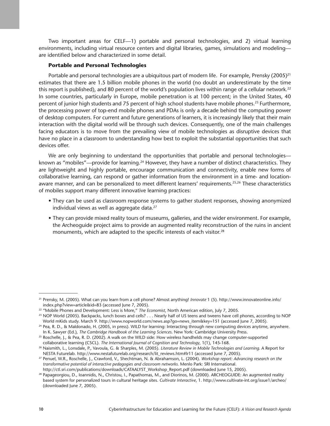Two important areas for CELF—1) portable and personal technologies, and 2) virtual learning environments, including virtual resource centers and digital libraries, games, simulations and modeling are identified below and characterized in some detail.

#### **Portable and Personal Technologies**

Portable and personal technologies are a ubiquitous part of modern life. For example, Prensky (2005)<sup>21</sup> estimates that there are 1.5 billion mobile phones in the world (no doubt an underestimate by the time this report is published), and 80 percent of the world's population lives within range of a cellular network.<sup>22</sup> In some countries, particularly in Europe, mobile penetration is at 100 percent; in the United States, 40 percent of junior high students and 75 percent of high school students have mobile phones.<sup>23</sup> Furthermore, the processing power of top-end mobile phones and PDAs is only a decade behind the computing power of desktop computers. For current and future generations of learners, it is increasingly likely that their main interaction with the digital world will be through such devices. Consequently, one of the main challenges facing educators is to move from the prevailing view of mobile technologies as disruptive devices that have no place in a classroom to understanding how best to exploit the substantial opportunities that such devices offer.

We are only beginning to understand the opportunities that portable and personal technologies known as "mobiles"—provide for learning.<sup>24</sup> However, they have a number of distinct characteristics. They are lightweight and highly portable, encourage communication and connectivity, enable new forms of collaborative learning, can respond or gather information from the environment in a time- and locationaware manner, and can be personalized to meet different learners' requirements.<sup>25,26</sup> These characteristics of mobiles support many different innovative learning practices:

- They can be used as classroom response systems to gather student responses, showing anonymized individual views as well as aggregate data.<sup>27</sup>
- They can provide mixed reality tours of museums, galleries, and the wider environment. For example, the Archeoguide project aims to provide an augmented reality reconstruction of the ruins in ancient monuments, which are adapted to the specific interests of each visitor.<sup>28</sup>

<sup>21</sup> Prensky, M. (2005). What can you learn from a cell phone? Almost anything! *Innovate* 1 (5). http://www.innovateonline.info/

index.php?view=article&id=83 (accessed June 7, 2005). 22 "Mobile Phones and Development: Less is More," *The Economist*, North American edition, July 7, 2005.

<sup>&</sup>lt;sup>23</sup> NOP World (2005). Backpacks, lunch boxes and cells? . . . Nearly half of US teens and tweens have cell phones, according to NOP World mKids study. March 9. http://www.nopworld.com/news.asp?go=news\_item&key=151 (accessed June 7, 2005).

<sup>24</sup> Pea, R. D., & Maldonado, H. (2005, in press). WILD for learning: Interacting through new computing devices anytime, anywhere. In K. Sawyer (Ed.), *The Cambridge Handbook of the Learning Sciences*. New York: Cambridge University Press.

<sup>&</sup>lt;sup>25</sup> Roschelle, J., & Pea, R. D. (2002). A walk on the WILD side: How wireless handhelds may change computer-supported collaborative learning (CSCL). *The International Journal of Cognition and Technology*, 1(1), 145-168.

<sup>26</sup> Naismith, L., Lonsdale, P., Vavoula, G. & Sharples, M. (2005). *Literature Review in Mobile Technologies and Learning*. A Report for NESTA Futurelab. http://www.nestafuturelab.org/research/lit\_reviews.htm#lr11 (accessed June 7, 2005).<br><sup>27</sup> Penuel, W.R., Roschelle, J., Crawford, V., Shechtman, N. & Abrahamson, L. (2004). Workshop report: Advancing resear

*transformative potential of interactive pedagogies and classroom networks.* Menlo Park: SRI International.

http://ctl.sri.com/publications/downloads/CATAALYST\_Workshop\_Report.pdf (downloaded June 15, 2005). 28 Papageorgiou, D., Ioannidis, N., Christou, I., Papathomas, M., and Diorinos, M. (2000). ARCHEOGUIDE: An augmented reality based system for personalized tours in cultural heritage sites. *Cultivate Interactive*, 1. http://www.cultivate-int.org/issue1/archeo/ (downloaded June 7, 2005).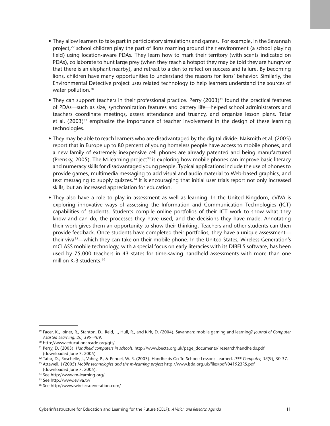- They allow learners to take part in participatory simulations and games. For example, in the Savannah project,<sup>29</sup> school children play the part of lions roaming around their environment (a school playing field) using location-aware PDAs. They learn how to mark their territory (with scents indicated on PDAs), collaborate to hunt large prey (when they reach a hotspot they may be told they are hungry or that there is an elephant nearby), and retreat to a den to reflect on success and failure. By becoming lions, children have many opportunities to understand the reasons for lions' behavior. Similarly, the Environmental Detective project uses related technology to help learners understand the sources of water pollution.<sup>30</sup>
- They can support teachers in their professional practice. Perry (2003)<sup>31</sup> found the practical features of PDAs—such as size, synchronization features and battery life—helped school administrators and teachers coordinate meetings, assess attendance and truancy, and organize lesson plans. Tatar et al. (2003)<sup>32</sup> emphasize the importance of teacher involvement in the design of these learning technologies.
- They may be able to reach learners who are disadvantaged by the digital divide: Naismith et al. (2005) report that in Europe up to 80 percent of young homeless people have access to mobile phones, and a new family of extremely inexpensive cell phones are already patented and being manufactured (Prensky, 2005). The M-learning project<sup>33</sup> is exploring how mobile phones can improve basic literacy and numeracy skills for disadvantaged young people. Typical applications include the use of phones to provide games, multimedia messaging to add visual and audio material to Web-based graphics, and text messaging to supply quizzes.<sup>34</sup> It is encouraging that initial user trials report not only increased skills, but an increased appreciation for education.
- They also have a role to play in assessment as well as learning. In the United Kingdom, eVIVA is exploring innovative ways of assessing the Information and Communication Technologies (ICT) capabilities of students. Students compile online portfolios of their ICT work to show what they know and can do, the processes they have used, and the decisions they have made. Annotating their work gives them an opportunity to show their thinking. Teachers and other students can then provide feedback. Once students have completed their portfolios, they have a unique assessment their viva<sup>35</sup>—which they can take on their mobile phone. In the United States, Wireless Generation's mCLASS mobile technology, with a special focus on early literacies with its DIBELS software, has been used by 75,000 teachers in 43 states for time-saving handheld assessments with more than one million K-3 students.<sup>36</sup>

<sup>29</sup> Facer, K., Joiner, R., Stanton, D., Reid, J., Hull, R., and Kirk, D. (2004). Savannah: mobile gaming and learning? *Journal of Computer Assisted Learning, 20, 399–409*. 30 http://www.educationarcade.org/gtt/

<sup>31</sup> Perry, D, (2003). *Handheld computers in schools.* http://www.becta.org.uk/page\_documents/ research/handhelds.pdf

<sup>(</sup>downloaded June 7, 2005)<br><sup>32</sup> Tatar, D., Roschelle, J., Vahey, P., & Penuel, W. R. (2003). Handhelds Go To School: Lessons Learned. *IEEE Computer, 36(9), 30-37.*<br><sup>33</sup> Attewell, J (2005) *Mobile technologies and the m-lea* 

<sup>(</sup>downloaded June 7, 2005).

<sup>34</sup> See http://www.m-learning.org/

<sup>35</sup> See http://www.eviva.tv/

<sup>36</sup> See http://www.wirelessgeneration.com/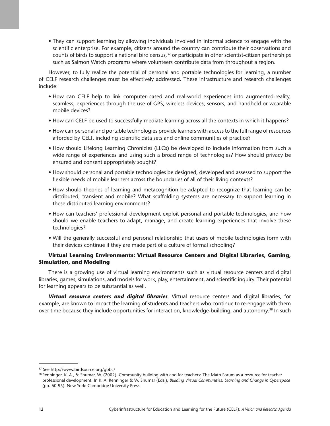• They can support learning by allowing individuals involved in informal science to engage with the scientific enterprise. For example, citizens around the country can contribute their observations and counts of birds to support a national bird census, $37$  or participate in other scientist-citizen partnerships such as Salmon Watch programs where volunteers contribute data from throughout a region.

However, to fully realize the potential of personal and portable technologies for learning, a number of CELF research challenges must be effectively addressed. These infrastructure and research challenges include:

- How can CELF help to link computer-based and real-world experiences into augmented-reality, seamless, experiences through the use of GPS, wireless devices, sensors, and handheld or wearable mobile devices?
- How can CELF be used to successfully mediate learning across all the contexts in which it happens?
- How can personal and portable technologies provide learners with access to the full range of resources afforded by CELF, including scientific data sets and online communities of practice?
- How should Lifelong Learning Chronicles (LLCs) be developed to include information from such a wide range of experiences and using such a broad range of technologies? How should privacy be ensured and consent appropriately sought?
- How should personal and portable technologies be designed, developed and assessed to support the flexible needs of mobile learners across the boundaries of all of their living contexts?
- How should theories of learning and metacognition be adapted to recognize that learning can be distributed, transient and mobile? What scaffolding systems are necessary to support learning in these distributed learning environments?
- How can teachers' professional development exploit personal and portable technologies, and how should we enable teachers to adapt, manage, and create learning experiences that involve these technologies?
- Will the generally successful and personal relationship that users of mobile technologies form with their devices continue if they are made part of a culture of formal schooling?

#### **Virtual Learning Environments: Virtual Resource Centers and Digital Libraries, Gaming, Simulation, and Modeling**

There is a growing use of virtual learning environments such as virtual resource centers and digital libraries, games, simulations, and models for work, play, entertainment, and scientific inquiry. Their potential for learning appears to be substantial as well.

*Virtual resource centers and digital libraries*. Virtual resource centers and digital libraries, for example, are known to impact the learning of students and teachers who continue to re-engage with them over time because they include opportunities for interaction, knowledge-building, and autonomy.<sup>38</sup> In such

<sup>&</sup>lt;sup>37</sup> See http://www.birdsource.org/gbbc/<br><sup>38</sup> Renninger, K. A., & Shumar, W. (2002). Community building with and for teachers: The Math Forum as a resource for teacher professional development. In K. A. Renninger & W. Shumar (Eds.), *Building Virtual Communities: Learning and Change in Cyberspace* (pp. 60-95). New York: Cambridge University Press.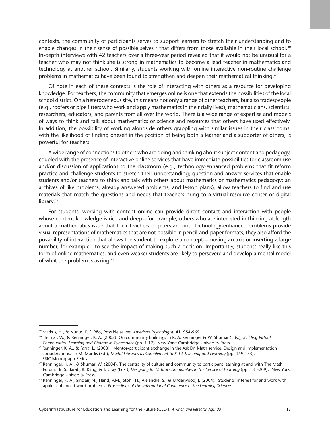contexts, the community of participants serves to support learners to stretch their understanding and to enable changes in their sense of possible selves<sup>39</sup> that differs from those available in their local school.<sup>40</sup> In-depth interviews with 42 teachers over a three-year period revealed that it would not be unusual for a teacher who may not think she is strong in mathematics to become a lead teacher in mathematics and technology at another school. Similarly, students working with online interactive non-routine challenge problems in mathematics have been found to strengthen and deepen their mathematical thinking.<sup>41</sup>

Of note in each of these contexts is the role of interacting with others as a resource for developing knowledge. For teachers, the community that emerges online is one that extends the possibilities of the local school district. On a heterogeneous site, this means not only a range of other teachers, but also tradespeople (e.g., roofers or pipe fitters who work and apply mathematics in their daily lives), mathematicians, scientists, researchers, educators, and parents from all over the world. There is a wide range of expertise and models of ways to think and talk about mathematics or science and resources that others have used effectively. In addition, the possibility of working alongside others grappling with similar issues in their classrooms, with the likelihood of finding oneself in the position of being both a learner and a supporter of others, is powerful for teachers.

A wide range of connections to others who are doing and thinking about subject content and pedagogy, coupled with the presence of interactive online services that have immediate possibilities for classroom use and/or discussion of applications to the classroom (e.g., technology-enhanced problems that fit reform practice and challenge students to stretch their understanding; question-and-answer services that enable students and/or teachers to think and talk with others about mathematics or mathematics pedagogy; an archives of like problems, already answered problems, and lesson plans), allow teachers to find and use materials that match the questions and needs that teachers bring to a virtual resource center or digital library.<sup>42</sup>

For students, working with content online can provide direct contact and interaction with people whose content knowledge is rich and deep—for example, others who are interested in thinking at length about a mathematics issue that their teachers or peers are not. Technology-enhanced problems provide visual representations of mathematics that are not possible in pencil-and-paper formats; they also afford the possibility of interaction that allows the student to explore a concept—moving an axis or inserting a large number, for example—to see the impact of making such a decision. Importantly, students really like this form of online mathematics, and even weaker students are likely to persevere and develop a mental model of what the problem is asking.<sup>43</sup>

<sup>39</sup> Markus, H., & Nurius, P. (1986) Possible selves. *American Psychologist*, 41, 954-969.

<sup>40</sup> Shumar, W., & Renninger, K. A. (2002). On community building. In K. A. Renninger & W. Shumar (Eds.), *Building Virtual* 

<sup>&</sup>lt;sup>41</sup> Renninger, K. A., & Farra, L. (2003). Mentor-participant exchange in the Ask Dr. Math service: Design and implementation considerations. In M. Mardis (Ed.), *Digital Libraries as Complement to K-12 Teaching and Learning* (pp. 159-173). ERIC Monograph Series.

 $42$  Renninger, K. A., & Shumar, W. (2004). The centrality of culture and community to participant learning at and with The Math Forum. In S. Barab, R. Kling, & J. Gray (Eds.), *Designing for Virtual Communities in the Service of Learning* (pp. 181-209). New York: Cambridge University Press.

<sup>43</sup> Renninger, K. A., Sinclair, N., Hand, V.M., Stohl, H., Alejandre, S., & Underwood, J. (2004). Students' interest for and work with applet-enhanced word problems. *Proceedings of the International Conference of the Learning Sciences.*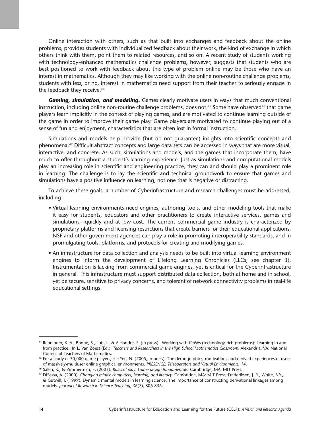Online interaction with others, such as that built into exchanges and feedback about the online problems, provides students with individualized feedback about their work, the kind of exchange in which others think with them, point them to related resources, and so on. A recent study of students working with technology-enhanced mathematics challenge problems, however, suggests that students who are best positioned to work with feedback about this type of problem online may be those who have an interest in mathematics. Although they may like working with the online non-routine challenge problems, students with less, or no, interest in mathematics need support from their teacher to seriously engage in the feedback they receive.<sup>44</sup>

*Gaming, simulation, and modeling***.** Games clearly motivate users in ways that much conventional instruction, including online non-routine challenge problems, does not.<sup>45</sup> Some have observed<sup>46</sup> that game players learn implicitly in the context of playing games, and are motivated to continue learning outside of the game in order to improve their game play. Game players are motivated to continue playing out of a sense of fun and enjoyment, characteristics that are often lost in formal instruction.

Simulations and models help provide (but do not guarantee) insights into scientific concepts and phenomena.47 Difficult abstract concepts and large data sets can be accessed in ways that are more visual, interactive, and concrete. As such, simulations and models, and the games that incorporate them, have much to offer throughout a student's learning experience. Just as simulations and computational models play an increasing role in scientific and engineering practice, they can and should play a prominent role in learning. The challenge is to lay the scientific and technical groundwork to ensure that games and simulations have a positive influence on learning, not one that is negative or distracting.

To achieve these goals, a number of Cyberinfrastructure and research challenges must be addressed, including:

- Virtual learning environments need engines, authoring tools, and other modeling tools that make it easy for students, educators and other practitioners to create interactive services, games and simulations—quickly and at low cost. The current commercial game industry is characterized by proprietary platforms and licensing restrictions that create barriers for their educational applications. NSF and other government agencies can play a role in promoting interoperability standards, and in promulgating tools, platforms, and protocols for creating and modifying games.
- An infrastructure for data collection and analysis needs to be built into virtual learning environment engines to inform the development of Lifelong Learning Chronicles (LLCs; see chapter 3). Instrumentation is lacking from commercial game engines, yet is critical for the Cyberinfrastructure in general. This infrastructure must support distributed data collection, both at home and in school, yet be secure, sensitive to privacy concerns, and tolerant of network connectivity problems in real-life educational settings.

<sup>44</sup> Renninger, K. A., Boone, S., Luft, I., & Alejandre, S. (in press). Working with tPoWs (technology-rich problems): Learning in and from practice. In L. Van Zoest (Ed.), *Teachers and Researchers in the High School Mathematics Classroom.* Alexandria, VA: National

Council of Teachers of Mathematics.<br><sup>45</sup> For a study of 30,000 game players, see Yee, N. (2005, in press). The demographics, motivations and derived experiences of users of massively-multiuser online graphical environments. *PRESENCE: Teleoperators and Virtual Environments, 14*.

<sup>&</sup>lt;sup>47</sup> DiSessa, A. (2000). Changing minds: computers, learning, and literacy. Cambridge, MA: MIT Press; Frederiksen, J. R., White, B.Y., & Gutwill, J. (1999). Dynamic mental models in learning science: The importance of constructing derivational linkages among models. *Journal of Research in Science Teaching, 36*(7), 806-836.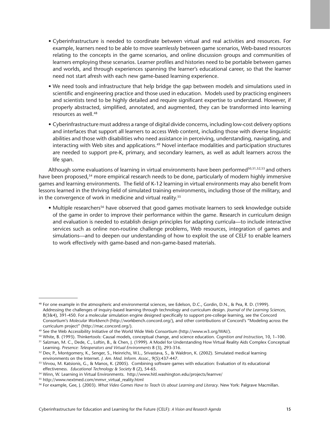- Cyberinfrastructure is needed to coordinate between virtual and real activities and resources. For example, learners need to be able to move seamlessly between game scenarios, Web-based resources relating to the concepts in the game scenarios, and online discussion groups and communities of learners employing these scenarios. Learner profiles and histories need to be portable between games and worlds, and through experiences spanning the learner's educational career, so that the learner need not start afresh with each new game-based learning experience.
- We need tools and infrastructure that help bridge the gap between models and simulations used in scientific and engineering practice and those used in education. Models used by practicing engineers and scientists tend to be highly detailed and require significant expertise to understand. However, if properly abstracted, simplified, annotated, and augmented, they can be transformed into learning resources as well.48
- Cyberinfrastructure must address a range of digital divide concerns, including low-cost delivery options and interfaces that support all learners to access Web content, including those with diverse linguistic abilities and those with disabilities who need assistance in perceiving, understanding, navigating, and interacting with Web sites and applications.49 Novel interface modalities and participation structures are needed to support pre-K, primary, and secondary learners, as well as adult learners across the life span.

Although some evaluations of learning in virtual environments have been performed50,51,52,53 and others have been proposed,<sup>54</sup> more empirical research needs to be done, particularly of modern highly immersive games and learning environments. The field of K-12 learning in virtual environments may also benefit from lessons learned in the thriving field of simulated training environments, including those of the military, and in the convergence of work in medicine and virtual reality.<sup>55</sup>

• Multiple researchers<sup>56</sup> have observed that good games motivate learners to seek knowledge outside of the game in order to improve their performance within the game. Research in curriculum design and evaluation is needed to establish design principles for adapting curricula—to include interactive services such as online non-routine challenge problems, Web resources, integration of games and simulations—and to deepen our understanding of how to exploit the use of CELF to enable learners to work effectively with game-based and non-game-based materials.

<sup>48</sup> For one example in the atmospheric and environmental sciences, see Edelson, D.C., Gordin, D.N., & Pea, R. D. (1999). Addressing the challenges of inquiry-based learning through technology and curriculum design. *Journal of the Learning Sciences*, 8(3&4), 391-450. For a molecular simulation engine designed specifically to support pre-college learning, see the Concord Consortium's *Molecular Workbench* (http://workbench.concord.org/), and other contributions of Concord's "Modeling across the curriculum project" (http://mac.concord.org/).

<sup>49</sup> See the Web Accessibility Initiative of the World Wide Web Consortium (http://www.w3.org/WAI/).

<sup>50</sup> White, B. (1993). Thinkertools: Causal models, conceptual change, and science education. *Cognition and Instruction*, 10, 1–100.

<sup>51</sup> Salzman, M. C., Dede, C., Loftin, B., & Chen, J. (1999). A Model for Understanding How Virtual Reality Aids Complex Conceptual Learning. *Presence: Teleoperators and Virtual Environments* 8 (3), 293-316.

<sup>52</sup> Dev, P., Montgomery, K., Senger, S., Heinrichs, W.L., Srivastava, S., & Waldron, K. (2002). Simulated medical learning environments on the Internet. *J. Am. Med. Inform. Assoc.*, 9(5):437-447.

<sup>53</sup> Virvou, M. Katsionis, G., & Manos, K. (2005). Combining software games with education: Evaluation of its educational effectiveness. *Educational Technology & Society* 8 (2), 54-65.

<sup>54</sup> Winn, W. Learning in Virtual Environments. http://www.hitl.washington.edu/projects/learnve/

<sup>55</sup> http://www.nextmed.com/mmvr\_virtual\_reality.html

<sup>56</sup> For example, Gee, J. (2003). *What Video Games Have to Teach Us about Learning and Literacy*. New York: Palgrave Macmillan.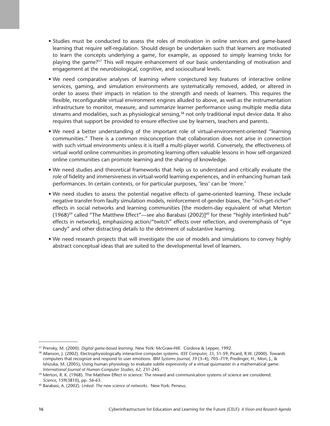- Studies must be conducted to assess the roles of motivation in online services and game-based learning that require self-regulation. Should design be undertaken such that learners are motivated to learn the concepts underlying a game, for example, as opposed to simply learning tricks for playing the game?<sup>57</sup> This will require enhancement of our basic understanding of motivation and engagement at the neurobiological, cognitive, and sociocultural levels.
- We need comparative analyses of learning where conjectured key features of interactive online services, gaming, and simulation environments are systematically removed, added, or altered in order to assess their impacts in relation to the strength and needs of learners. This requires the flexible, reconfigurable virtual environment engines alluded to above, as well as the instrumentation infrastructure to monitor, measure, and summarize learner performance using multiple media data streams and modalities, such as physiological sensing,<sup>58</sup> not only traditional input device data. It also requires that support be provided to ensure effective use by learners, teachers and parents.
- We need a better understanding of the important role of virtual-environment-oriented "learning communities." There is a common misconception that collaboration does not arise in connection with such virtual environments unless it is itself a multi-player world. Conversely, the effectiveness of virtual world online communities in promoting learning offers valuable lessons in how self-organized online communities can promote learning and the sharing of knowledge.
- We need studies and theoretical frameworks that help us to understand and critically evaluate the role of fidelity and immersiveness in virtual-world learning experiences, and in enhancing human task performances. In certain contexts, or for particular purposes, 'less' can be 'more.'
- We need studies to assess the potential negative effects of game-oriented learning. These include negative transfer from faulty simulation models, reinforcement of gender biases, the "rich-get-richer" effects in social networks and learning communities [the modern-day equivalent of what Merton (1968)<sup>59</sup> called "The Matthew Effect"—see also Barabasi (2002)]<sup>60</sup> for these "highly interlinked hub" effects in networks], emphasizing action/"twitch" effects over reflection, and overemphasis of "eye candy" and other distracting details to the detriment of substantive learning.
- We need research projects that will investigate the use of models and simulations to convey highly abstract conceptual ideas that are suited to the developmental level of learners.

<sup>57</sup> Prensky, M. (2000). *Digital game-based learning*. New York: McGraw-Hill. Cordova & Lepper, 1992.

<sup>58</sup> Allanson, J. (2002). Electrophysiologically interactive computer systems. *IEEE Computer, 35*, 51-59; Picard, R.W. (2000). Towards computers that recognize and respond to user emotions. *IBM Systems Journal, 39* (3–4), 705–719; Predinger, H., Mori, J., & Ishizuka, M. (2005), Using human physiology to evaluate subtle expressivity of a virtual quizmaster in a mathematical game. *International Journal of Human-Computer Studies, 62, 231-245.*<br><sup>59</sup> Merton, R. K. (1968). The Matthew Effect in science: The reward and communication systems of science are considered.

*Science*, 159(3810), pp. 56-63.

<sup>60</sup> Barabasi, A. (2002). *Linked: The new science of networks.* New York: Perseus.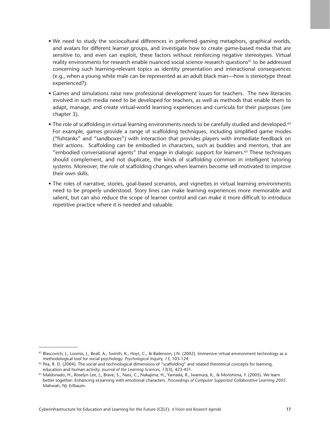- We need to study the sociocultural differences in preferred gaming metaphors, graphical worlds, and avatars for different learner groups, and investigate how to create game-based media that are sensitive to, and even can exploit, these factors without reinforcing negative stereotypes. Virtual reality environments for research enable nuanced social science research questions<sup>61</sup> to be addressed concerning such learning-relevant topics as identity presentation and interactional consequences (e.g., when a young white male can be represented as an adult black man—how is stereotype threat experienced?).
- Games and simulations raise new professional development issues for teachers. The new literacies involved in such media need to be developed for teachers, as well as methods that enable them to adapt, manage, and create virtual-world learning experiences and curricula for their purposes (see chapter 3).
- The role of scaffolding in virtual learning environments needs to be carefully studied and developed.<sup>62</sup> For example, games provide a range of scaffolding techniques, including simplified game modes ("fishtanks" and "sandboxes") with interaction that provides players with immediate feedback on their actions. Scaffolding can be embodied in characters, such as buddies and mentors, that are "embodied conversational agents" that engage in dialogic support for learners.63 These techniques should complement, and not duplicate, the kinds of scaffolding common in intelligent tutoring systems. Moreover, the role of scaffolding changes when learners become self-motivated to improve their own skills.
- The roles of narrative, stories, goal-based scenarios, and vignettes in virtual learning environments need to be properly understood. Story lines can make learning experiences more memorable and salient, but can also reduce the scope of learner control and can make it more difficult to introduce repetitive practice where it is needed and valuable.

<sup>&</sup>lt;sup>61</sup> Blascovich, J., Loomis, J., Beall, A., Swinth, K., Hoyt, C., & Bailenson, J.N. (2002). Immersive virtual environment technology as a methodological tool for social psychology. *Psychological Inquiry, 13*, 103-124.

 $62$  Pea, R. D. (2004). The social and technological dimensions of "scaffolding" and related theoretical concepts for learning, education and human activity. *Journal of the Learning Sciences, 13*(3), 423-451.

<sup>&</sup>lt;sup>63</sup> Maldonado, H., Roselyn Lee, J., Brave, S., Nass, C., Nakajima, H., Yamada, R., Iwamura, K., & Morishima, Y. (2005). We learn better together: Enhancing eLearning with emotional characters. *Proceedings of Computer Supported Collaborative Learning 2005.* Mahwah, NJ: Erlbaum.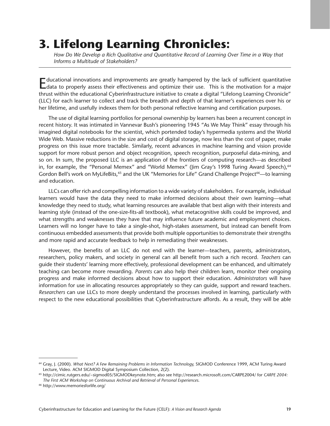### **3. Lifelong Learning Chronicles:**

*How Do We Develop a Rich Qualitative and Quantitative Record of Learning Over Time in a Way that Informs a Multitude of Stakeholders?*

Educational innovations and improvements are greatly hampered by the lack of sufficient quantitative data to properly assess their effectiveness and optimize their use. This is the motivation for a major thrust within the educational Cyberinfrastructure initiative to create a digital "Lifelong Learning Chronicle" (LLC) for each learner to collect and track the breadth and depth of that learner's experiences over his or her lifetime, and usefully indexes them for both personal reflective learning and certification purposes.

The use of digital learning portfolios for personal ownership by learners has been a recurrent concept in recent history. It was intimated in Vannevar Bush's pioneering 1945 "As We May Think" essay through his imagined digital notebooks for the scientist, which portended today's hypermedia systems and the World Wide Web. Massive reductions in the size and cost of digital storage, now less than the cost of paper, make progress on this issue more tractable. Similarly, recent advances in machine learning and vision provide support for more robust person and object recognition, speech recognition, purposeful data-mining, and so on. In sum, the proposed LLC is an application of the frontiers of computing research—as described in, for example, the "Personal Memex" and "World Memex" (Jim Gray's 1998 Turing Award Speech),<sup>64</sup> Gordon Bell's work on MyLifeBits,<sup>65</sup> and the UK "Memories for Life" Grand Challenge Project<sup>66</sup>—to learning and education.

LLCs can offer rich and compelling information to a wide variety of stakeholders. For example, individual learners would have the data they need to make informed decisions about their own learning—what knowledge they need to study, what learning resources are available that best align with their interests and learning style (instead of the one-size-fits-all textbook), what metacognitive skills could be improved, and what strengths and weaknesses they have that may influence future academic and employment choices. Learners will no longer have to take a single-shot, high-stakes assessment, but instead can benefit from continuous embedded assessments that provide both multiple opportunities to demonstrate their strengths and more rapid and accurate feedback to help in remediating their weaknesses.

However, the benefits of an LLC do not end with the learner—teachers, parents, administrators, researchers, policy makers, and society in general can all benefit from such a rich record. *Teachers* can guide their students' learning more effectively, professional development can be enhanced, and ultimately teaching can become more rewarding. *Parents* can also help their children learn, monitor their ongoing progress and make informed decisions about how to support their education. *Administrators* will have information for use in allocating resources appropriately so they can guide, support and reward teachers. *Researchers* can use LLCs to more deeply understand the processes involved in learning, particularly with respect to the new educational possibilities that Cyberinfrastructure affords. As a result, they will be able

<sup>64</sup> Gray, J. (2000). *What Next? A Few Remaining Problems in Information Technology,* SIGMOD Conference 1999, ACM Turing Award Lecture, Video. ACM SIGMOD Digital Symposium Collection, 2(2).

<sup>65</sup> http://cimic.rutgers.edu/~sigmod05/SIGMODkeynote.htm; also see http://research.microsoft.com/CARPE2004/ for *CARPE 2004: The First ACM Workshop on Continuous Archival and Retrieval of Personal Experiences*. 66 http://www.memoriesforlife.org/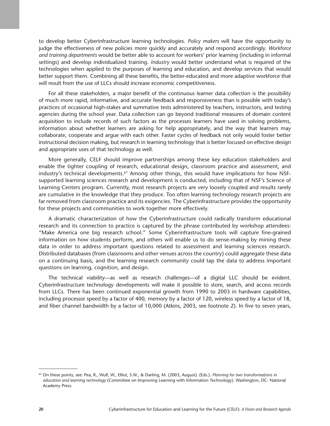to develop better Cyberinfrastructure learning technologies. *Policy makers* will have the opportunity to judge the effectiveness of new policies more quickly and accurately and respond accordingly. *Workforce and training departments* would be better able to account for workers' prior learning (including in informal settings) and develop individualized training. *Industry* would better understand what is required of the technologies when applied to the purposes of learning and education, and develop services that would better support them. Combining all these benefits, the better-educated and more adaptive workforce that will result from the use of LLCs should increase economic competitiveness.

For all these stakeholders, a major benefit of the continuous learner data collection is the possibility of much more rapid, informative, and accurate feedback and responsiveness than is possible with today's practices of occasional high-stakes and summative tests administered by teachers, instructors, and testing agencies during the school year. Data collection can go beyond traditional measures of domain content acquisition to include records of such factors as the processes learners have used in solving problems, information about whether learners are asking for help appropriately, and the way that learners may collaborate, cooperate and argue with each other. Faster cycles of feedback not only would foster better instructional decision making, but research in learning technology that is better focused on effective design and appropriate uses of that technology as well.

More generally, CELF should improve partnerships among these key education stakeholders and enable the tighter coupling of research, educational design, classroom practice and assessment, and industry's technical developments.<sup>67</sup> Among other things, this would have implications for how NSFsupported learning sciences research and development is conducted, including that of NSF's Science of Learning Centers program. Currently, most research projects are very loosely coupled and results rarely are cumulative in the knowledge that they produce. Too often learning technology research projects are far removed from classroom practice and its exigencies. The Cyberinfrastructure provides the opportunity for these projects and communities to work together more effectively.

A dramatic characterization of how the Cyberinfrastructure could radically transform educational research and its connection to practice is captured by the phrase contributed by workshop attendees: "Make America one big research school." Some Cyberinfrastructure tools will capture fine-grained information on how students perform, and others will enable us to do sense-making by mining these data in order to address important questions related to assessment and learning sciences research. Distributed databases (from classrooms and other venues across the country) could aggregate these data on a continuing basis, and the learning research community could tap the data to address important questions on learning, cognition, and design.

The technical viability—as well as research challenges—of a digital LLC should be evident. Cyberinfrastructure technology developments will make it possible to store, search, and access records from LLCs. There has been continued exponential growth from 1990 to 2003 in hardware capabilities, including processor speed by a factor of 400, memory by a factor of 120, wireless speed by a factor of 18, and fiber channel bandwidth by a factor of 10,000 (Atkins, 2003, see footnote 2). In five to seven years,

<sup>67</sup> On these points, see: Pea, R., Wulf, W., Elliot, S.W., & Darling, M. (2003, August). (Eds.). *Planning for two transformations in education and learning technology* (Committee on Improving Learning with Information Technology). Washington, DC: National Academy Press.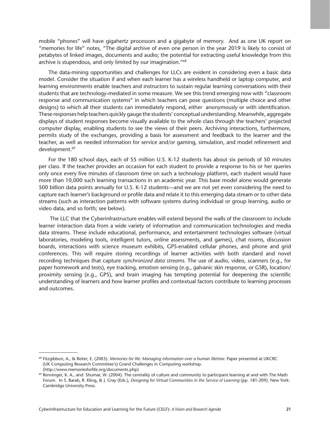mobile "phones" will have gigahertz processors and a gigabyte of memory. And as one UK report on "memories for life" notes, "The digital archive of even one person in the year 2019 is likely to consist of petabytes of linked images, documents and audio; the potential for extracting useful knowledge from this archive is stupendous, and only limited by our imagination."<sup>68</sup>

The data-mining opportunities and challenges for LLCs are evident in considering even a basic data model. Consider the situation if and when each learner has a wireless handheld or laptop computer, and learning environments enable teachers and instructors to sustain regular learning conversations with their students that are technology-mediated in some measure. We see this trend emerging now with "classroom response and communication systems" in which teachers can pose questions (multiple choice and other designs) to which all their students can immediately respond, either anonymously or with identification. These responses help teachers quickly gauge the students' conceptual understanding. Meanwhile, aggregate displays of student responses become visually available to the whole class through the teachers' projected computer display, enabling students to see the views of their peers. Archiving interactions, furthermore, permits study of the exchanges, providing a basis for assessment and feedback to the learner and the teacher, as well as needed information for service and/or gaming, simulation, and model refinement and development.<sup>69</sup>

For the 180 school days, each of 55 million U.S. K-12 students has about six periods of 50 minutes per class. If the teacher provides an occasion for each student to provide a response to his or her queries only once every five minutes of classroom time on such a technology platform, each student would have more than 10,000 such learning transactions in an academic year. This base model alone would generate 500 billion data points annually for U.S. K-12 students—and we are not yet even considering the need to capture each learner's background or profile data and relate it to this emerging data stream or to other data streams (such as interaction patterns with software systems during individual or group learning, audio or video data, and so forth; see below).

 The LLC that the Cyberinfrastructure enables will extend beyond the walls of the classroom to include learner interaction data from a wide variety of information and communication technologies and media data streams. These include educational, performance, and entertainment technologies software (virtual laboratories, modeling tools, intelligent tutors, online assessments, and games), chat rooms, discussion boards, interactions with science museum exhibits, GPS-enabled cellular phones, and phone and grid conferences. This will require storing recordings of learner activities with both standard and novel recording techniques that capture *synchronized data streams.* The use of audio, video, scanners (e.g., for paper homework and tests), eye tracking, emotion sensing (e.g., galvanic skin response, or GSR), location/ proximity sensing (e.g., GPS), and brain imaging has tempting potential for deepening the scientific understanding of learners and how learner profiles and contextual factors contribute to learning processes and outcomes.

<sup>68</sup> Fitzgibbon, A., & Reiter, E. (2003). *Memories for life: Managing information over a human lifetime*. Paper presented at UKCRC (UK Computing Research Committee's) Grand Challenges in Computing workshop. (http://www.memoriesforlife.org/documents.php)

 $69$  Renninger, K. A., and Shumar, W. (2004). The centrality of culture and community to participant learning at and with The Math Forum. In S. Barab, R. Kling, & J. Gray (Eds.), *Designing for Virtual Communities in the Service of Learning* (pp. 181-209). New York: Cambridge University Press.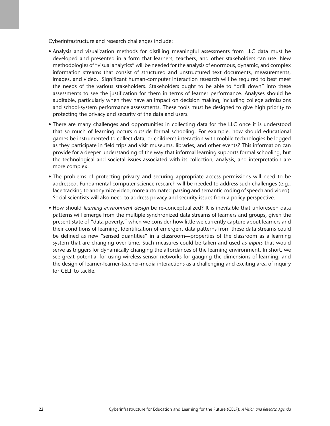Cyberinfrastructure and research challenges include:

- Analysis and visualization methods for distilling meaningful assessments from LLC data must be developed and presented in a form that learners, teachers, and other stakeholders can use. New methodologies of "visual analytics" will be needed for the analysis of enormous, dynamic, and complex information streams that consist of structured and unstructured text documents, measurements, images, and video. Significant human-computer interaction research will be required to best meet the needs of the various stakeholders. Stakeholders ought to be able to "drill down" into these assessments to see the justification for them in terms of learner performance. Analyses should be auditable, particularly when they have an impact on decision making, including college admissions and school-system performance assessments. These tools must be designed to give high priority to protecting the privacy and security of the data and users.
- There are many challenges and opportunities in collecting data for the LLC once it is understood that so much of learning occurs outside formal schooling. For example, how should educational games be instrumented to collect data, or children's interaction with mobile technologies be logged as they participate in field trips and visit museums, libraries, and other events? This information can provide for a deeper understanding of the way that informal learning supports formal schooling, but the technological and societal issues associated with its collection, analysis, and interpretation are more complex.
- The problems of protecting privacy and securing appropriate access permissions will need to be addressed. Fundamental computer science research will be needed to address such challenges (e.g., face tracking to anonymize video, more automated parsing and semantic coding of speech and video). Social scientists will also need to address privacy and security issues from a policy perspective.
- How should *learning environment design* be re-conceptualized? It is inevitable that unforeseen data patterns will emerge from the multiple synchronized data streams of learners and groups, given the present state of "data poverty," when we consider how little we currently capture about learners and their conditions of learning. Identification of emergent data patterns from these data streams could be defined as new "sensed quantities" in a classroom—properties of the classroom as a learning system that are changing over time. Such measures could be taken and used as *inputs* that would serve as triggers for dynamically changing the affordances of the learning environment. In short, we see great potential for using wireless sensor networks for gauging the dimensions of learning, and the design of learner-learner-teacher-media interactions as a challenging and exciting area of inquiry for CELF to tackle.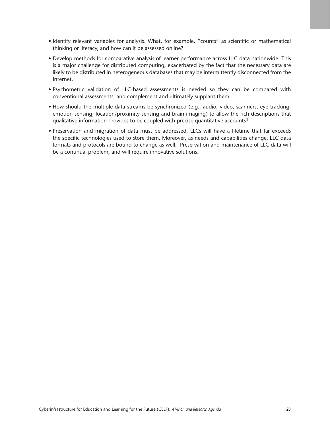- Identify relevant variables for analysis. What, for example, "counts" as scientific or mathematical thinking or literacy, and how can it be assessed online?
- Develop methods for comparative analysis of learner performance across LLC data nationwide. This is a major challenge for distributed computing, exacerbated by the fact that the necessary data are likely to be distributed in heterogeneous databases that may be intermittently disconnected from the Internet.
- Psychometric validation of LLC-based assessments is needed so they can be compared with conventional assessments, and complement and ultimately supplant them.
- How should the multiple data streams be synchronized (e.g., audio, video, scanners, eye tracking, emotion sensing, location/proximity sensing and brain imaging) to allow the rich descriptions that qualitative information provides to be coupled with precise quantitative accounts?
- Preservation and migration of data must be addressed. LLCs will have a lifetime that far exceeds the specific technologies used to store them. Moreover, as needs and capabilities change, LLC data formats and protocols are bound to change as well. Preservation and maintenance of LLC data will be a continual problem, and will require innovative solutions.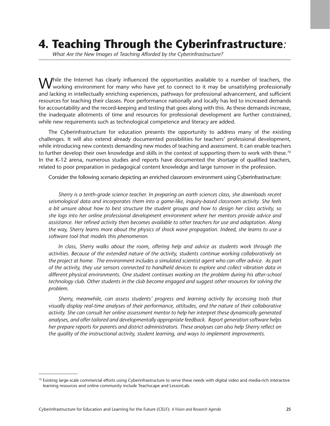### **4. Teaching Through the Cyberinfrastructure***:*

*What Are the New Images of Teaching Afforded by the Cyberinfrastructure?*

While the Internet has clearly influenced the opportunities available to a number of teachers, the working environment for many who have yet to connect to it may be unsatisfying professionally and lacking in intellectually enriching experiences, pathways for professional advancement, and sufficient resources for teaching their classes. Poor performance nationally and locally has led to increased demands for accountability and the record-keeping and testing that goes along with this. As these demands increase, the inadequate allotments of time and resources for professional development are further constrained, while new requirements such as technological competence and literacy are added.

The Cyberinfrastructure for education presents the opportunity to address many of the existing challenges. It will also extend already documented possibilities for teachers' professional development, while introducing new contexts demanding new modes of teaching and assessment. It can enable teachers to further develop their own knowledge and skills in the context of supporting them to work with these.<sup>70</sup> In the K-12 arena, numerous studies and reports have documented the shortage of qualified teachers, related to poor preparation in pedagogical content knowledge and large turnover in the profession.

Consider the following scenario depicting an enriched classroom environment using Cyberinfrastructure:

*Sherry is a tenth-grade science teacher. In preparing an earth sciences class, she downloads recent seismological data and incorporates them into a game-like, inquiry-based classroom activity. She feels a bit unsure about how to best structure the student groups and how to design her class activity, so she logs into her online professional development environment where her mentors provide advice and assistance. Her refined activity then becomes available to other teachers for use and adaptation. Along the way, Sherry learns more about the physics of shock wave propagation. Indeed, she learns to use a software tool that models this phenomenon.*

*In class, Sherry walks about the room, offering help and advice as students work through the activities. Because of the extended nature of the activity, students continue working collaboratively on the project at home. The environment includes a simulated scientist agent who can offer advice. As part of the activity, they use sensors connected to handheld devices to explore and collect vibration data in different physical environments. One student continues working on the problem during his after-school technology club. Other students in the club become engaged and suggest other resources for solving the problem.*

*Sherry, meanwhile, can assess students' progress and learning activity by accessing tools that visually display real-time analyses of their performance, attitudes, and the nature of their collaborative activity. She can consult her online assessment mentor to help her interpret these dynamically generated analyses, and offer tailored and developmentally appropriate feedback. Report generation software helps her prepare reports for parents and district administrators. These analyses can also help Sherry reflect on the quality of the instructional activity, student learning, and ways to implement improvements.*

 $70$  Existing large-scale commercial efforts using Cyberinfrastructure to serve these needs with digital video and media-rich interactive learning resources and online community include Teachscape and LessonLab.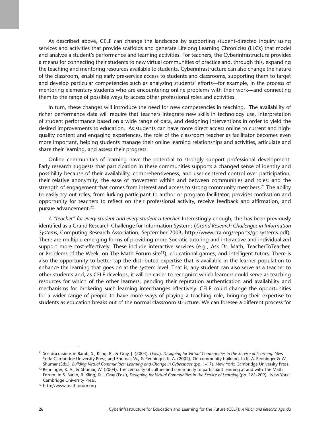As described above, CELF can change the landscape by supporting student-directed inquiry using services and activities that provide scaffolds and generate Lifelong Learning Chronicles (LLCs) that model and analyze a student's performance and learning activities. For teachers, the Cyberinfrastructure provides a means for connecting their students to new virtual communities of practice and, through this, expanding the teaching and mentoring resources available to students. Cyberinfrastructure can also change the nature of the classroom, enabling early pre-service access to students and classrooms, supporting them to target and develop particular competencies such as analyzing students' efforts—for example, in the process of mentoring elementary students who are encountering online problems with their work—and connecting them to the range of possible ways to access other professional roles and activities.

In turn, these changes will introduce the need for new competencies in teaching. The availability of richer performance data will require that teachers integrate new skills in technology use, interpretation of student performance based on a wide range of data, and designing interventions in order to yield the desired improvements to education. As students can have more direct access online to current and highquality content and engaging experiences, the role of the classroom teacher as facilitator becomes even more important, helping students manage their online learning relationships and activities, articulate and share their learning, and assess their progress.

Online communities of learning have the potential to strongly support professional development. Early research suggests that participation in these communities supports a changed sense of identity and possibility because of their availability, comprehensiveness, and user-centered control over participation; their relative anonymity; the ease of movement within and between communities and roles; and the strength of engagement that comes from interest and access to strong community members.<sup>71</sup> The ability to easily try out roles, from lurking participant to author or program facilitator, provides motivation and opportunity for teachers to reflect on their professional activity, receive feedback and affirmation, and pursue advancement.72

*A "teacher" for every student and every student a teacher.* Interestingly enough, this has been previously identified as a Grand Research Challenge for Information Systems (*Grand Research Challenges in Information Systems*, Computing Research Association, September 2003, http://www.cra.org/reports/gc.systems.pdf). There are multiple emerging forms of providing more Socratic tutoring and interactive and individualized support more cost-effectively. These include interactive services (e.g., Ask Dr. Math, TeacherToTeacher, or Problems of the Week, on The Math Forum site<sup>73</sup>), educational games, and intelligent tutors. There is also the opportunity to better tap the distributed expertise that is available in the learner population to enhance the learning that goes on at the system level. That is, any student can also serve as a teacher to other students and, as CELF develops, it will be easier to recognize which learners could serve as teaching resources for which of the other learners, pending their reputation authentication and availability and mechanisms for brokering such learning interchanges effectively. CELF could change the opportunities for a wider range of people to have more ways of playing a teaching role, bringing their expertise to students as education breaks out of the normal classroom structure. We can foresee a different process for

<sup>71</sup> See discussions in Barab, S., Kling, R., & Gray, J. (2004). (Eds.), *Designing for Virtual Communities in the Service of Learning.* New York: Cambridge University Press; and Shumar, W., & Renninger, K. A. (2002). On community building. In K. A. Renninger & W. Shumar (Eds.), *Building Virtual Communities: Learning and Change in Cyberspace* (pp. 1-17). New York: Cambridge University Press.

 $72$  Renninger, K. A., & Shumar, W. (2004). The centrality of culture and community to participant learning at and with The Math Forum. In S. Barab, R. Kling, & J. Gray (Eds.), *Designing for Virtual Communities in the Service of Learning* (pp. 181-209). New York: Cambridge University Press.

<sup>73</sup> http://www.mathforum.org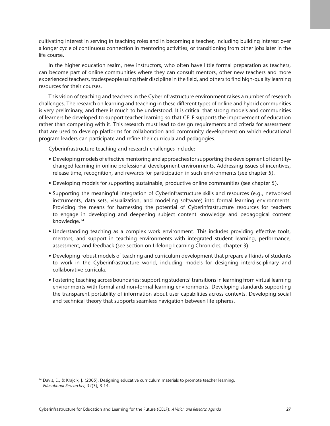cultivating interest in serving in teaching roles and in becoming a teacher, including building interest over a longer cycle of continuous connection in mentoring activities, or transitioning from other jobs later in the life course.

In the higher education realm, new instructors, who often have little formal preparation as teachers, can become part of online communities where they can consult mentors, other new teachers and more experienced teachers, tradespeople using their discipline in the field, and others to find high-quality learning resources for their courses.

This vision of teaching and teachers in the Cyberinfrastructure environment raises a number of research challenges. The research on learning and teaching in these different types of online and hybrid communities is very preliminary, and there is much to be understood. It is critical that strong models and communities of learners be developed to support teacher learning so that CELF supports the improvement of education rather than competing with it. This research must lead to design requirements and criteria for assessment that are used to develop platforms for collaboration and community development on which educational program leaders can participate and refine their curricula and pedagogies.

Cyberinfrastructure teaching and research challenges include:

- Developing models of effective mentoring and approaches for supporting the development of identitychanged learning in online professional development environments. Addressing issues of incentives, release time, recognition, and rewards for participation in such environments (see chapter 5).
- Developing models for supporting sustainable, productive online communities (see chapter 5).
- Supporting the meaningful integration of Cyberinfrastructure skills and resources (e.g., networked instruments, data sets, visualization, and modeling software) into formal learning environments. Providing the means for harnessing the potential of Cyberinfrastructure resources for teachers to engage in developing and deepening subject content knowledge and pedagogical content knowledge.74
- Understanding teaching as a complex work environment. This includes providing effective tools, mentors, and support in teaching environments with integrated student learning, performance, assessment, and feedback (see section on Lifelong Learning Chronicles, chapter 3).
- Developing robust models of teaching and curriculum development that prepare all kinds of students to work in the Cyberinfrastructure world, including models for designing interdisciplinary and collaborative curricula.
- Fostering teaching across boundaries: supporting students' transitions in learning from virtual learning environments with formal and non-formal learning environments. Developing standards supporting the transparent portability of information about user capabilities across contexts. Developing social and technical theory that supports seamless navigation between life spheres.

<sup>74</sup> Davis, E., & Krajcik, J. (2005). Designing educative curriculum materials to promote teacher learning. *Educational Researcher, 34*(3), 3-14.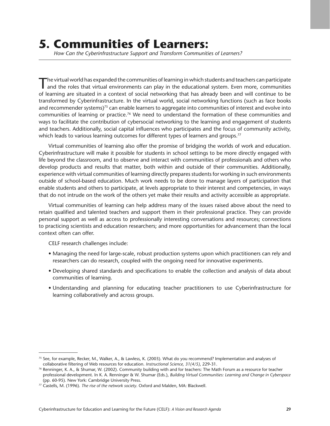## **5. Communities of Learners:**

*How Can the Cyberinfrastructure Support and Transform Communities of Learners?*

The virtual world has expanded the communities of learning in which students and teachers can participate<br>and the roles that virtual environments can play in the educational system. Even more, communities of learning are situated in a context of social networking that has already been and will continue to be transformed by Cyberinfrastructure. In the virtual world, social networking functions (such as face books and recommender systems)<sup>75</sup> can enable learners to aggregate into communities of interest and evolve into communities of learning or practice.<sup>76</sup> We need to understand the formation of these communities and ways to facilitate the contribution of cybersocial networking to the learning and engagement of students and teachers. Additionally, social capital influences who participates and the focus of community activity, which leads to various learning outcomes for different types of learners and groups.<sup>77</sup>

Virtual communities of learning also offer the promise of bridging the worlds of work and education. Cyberinfrastructure will make it possible for students in school settings to be more directly engaged with life beyond the classroom, and to observe and interact with communities of professionals and others who develop products and results that matter, both within and outside of their communities. Additionally, experience with virtual communities of learning directly prepares students for working in such environments outside of school-based education. Much work needs to be done to manage layers of participation that enable students and others to participate, at levels appropriate to their interest and competencies, in ways that do not intrude on the work of the others yet make their results and activity accessible as appropriate.

Virtual communities of learning can help address many of the issues raised above about the need to retain qualified and talented teachers and support them in their professional practice. They can provide personal support as well as access to professionally interesting conversations and resources; connections to practicing scientists and education researchers; and more opportunities for advancement than the local context often can offer.

CELF research challenges include:

- Managing the need for large-scale, robust production systems upon which practitioners can rely and researchers can do research, coupled with the ongoing need for innovative experiments.
- Developing shared standards and specifications to enable the collection and analysis of data about communities of learning.
- Understanding and planning for educating teacher practitioners to use Cyberinfrastructure for learning collaboratively and across groups.

<sup>75</sup> See, for example, Recker, M., Walker, A., & Lawless, K. (2003). What do you recommend? Implementation and analyses of collaborative filtering of Web resources for education. *Instructional Science, 31(4/5)*, 229-31.

<sup>76</sup> Renninger, K. A., & Shumar, W. (2002). Community building with and for teachers: The Math Forum as a resource for teacher

professional development. In K. A. Renninger & W. Shumar (Eds.), *Building Virtual Communities: Learning and Change in Cyberspace* (pp. 60-95). New York: Cambridge University Press.

<sup>77</sup> Castells, M. (1996). *The rise of the network society*. Oxford and Malden, MA: Blackwell.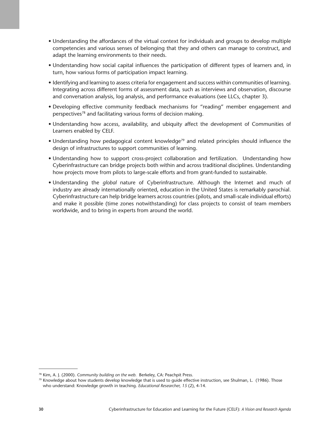- Understanding the affordances of the virtual context for individuals and groups to develop multiple competencies and various senses of belonging that they and others can manage to construct, and adapt the learning environments to their needs.
- Understanding how social capital influences the participation of different types of learners and, in turn, how various forms of participation impact learning.
- Identifying and learning to assess criteria for engagement and success within communities of learning. Integrating across different forms of assessment data, such as interviews and observation, discourse and conversation analysis, log analysis, and performance evaluations (see LLCs, chapter 3).
- Developing effective community feedback mechanisms for "reading" member engagement and perspectives78 and facilitating various forms of decision making.
- Understanding how access, availability, and ubiquity affect the development of Communities of Learners enabled by CELF.
- Understanding how pedagogical content knowledge<sup>79</sup> and related principles should influence the design of infrastructures to support communities of learning.
- Understanding how to support cross-project collaboration and fertilization. Understanding how Cyberinfrastructure can bridge projects both within and across traditional disciplines. Understanding how projects move from pilots to large-scale efforts and from grant-funded to sustainable.
- Understanding the *global* nature of Cyberinfrastructure. Although the Internet and much of industry are already internationally oriented, education in the United States is remarkably parochial. Cyberinfrastructure can help bridge learners across countries (pilots, and small-scale individual efforts) and make it possible (time zones notwithstanding) for class projects to consist of team members worldwide, and to bring in experts from around the world.

<sup>&</sup>lt;sup>78</sup> Kim, A. J. (2000). *Community building on the web.* Berkeley, CA: Peachpit Press.<br><sup>79</sup> Knowledge about how students develop knowledge that is used to guide effective instruction, see Shulman, L. (1986). Those who understand: Knowledge growth in teaching. *Educational Researcher, 15* (2), 4-14.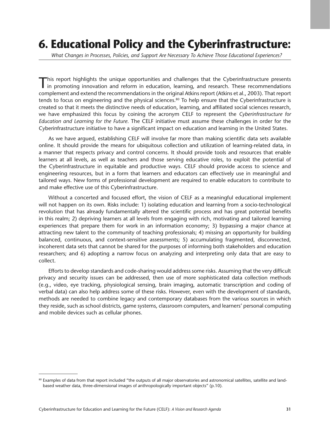### **6. Educational Policy and the Cyberinfrastructure:**

*What Changes in Processes, Policies, and Support Are Necessary To Achieve Those Educational Experiences?*

This report highlights the unique opportunities and challenges that the Cyberinfrastructure presents in promoting innovation and reform in education, learning, and research. These recommendations complement and extend the recommendations in the original Atkins report (Atkins et al., 2003). That report tends to focus on engineering and the physical sciences.<sup>80</sup> To help ensure that the Cyberinfrastructure is created so that it meets the distinctive needs of education, learning, and affiliated social sciences research, we have emphasized this focus by coining the acronym CELF to represent the *Cyberinfrastructure for Education and Learning for the Future*. The CELF initiative must assume these challenges in order for the Cyberinfrastructure initiative to have a significant impact on education and learning in the United States.

As we have argued, establishing CELF will involve far more than making scientific data sets available online. It should provide the means for ubiquitous collection and utilization of learning-related data, in a manner that respects privacy and control concerns. It should provide tools and resources that enable learners at all levels, as well as teachers and those serving educative roles, to exploit the potential of the Cyberinfrastructure in equitable and productive ways. CELF should provide access to science and engineering resources, but in a form that learners and educators can effectively use in meaningful and tailored ways. New forms of professional development are required to enable educators to contribute to and make effective use of this Cyberinfrastructure.

Without a concerted and focused effort, the vision of CELF as a meaningful educational implement will not happen on its own. Risks include: 1) isolating education and learning from a socio-technological revolution that has already fundamentally altered the scientific process and has great potential benefits in this realm; 2) depriving learners at all levels from engaging with rich, motivating and tailored learning experiences that prepare them for work in an information economy; 3) bypassing a major chance at attracting new talent to the community of teaching professionals; 4) missing an opportunity for building balanced, continuous, and context-sensitive assessments; 5) accumulating fragmented, disconnected, incoherent data sets that cannot be shared for the purposes of informing both stakeholders and education researchers; and 6) adopting a narrow focus on analyzing and interpreting only data that are easy to collect.

Efforts to develop standards and code-sharing would address some risks. Assuming that the very difficult privacy and security issues can be addressed, then use of more sophisticated data collection methods (e.g., video, eye tracking, physiological sensing, brain imaging, automatic transcription and coding of verbal data) can also help address some of these risks. However, even with the development of standards, methods are needed to combine legacy and contemporary databases from the various sources in which they reside, such as school districts, game systems, classroom computers, and learners' personal computing and mobile devices such as cellular phones.

<sup>80</sup> Examples of data from that report included "the outputs of all major observatories and astronomical satellites, satellite and landbased weather data, three-dimensional images of anthropologically important objects" (p.10).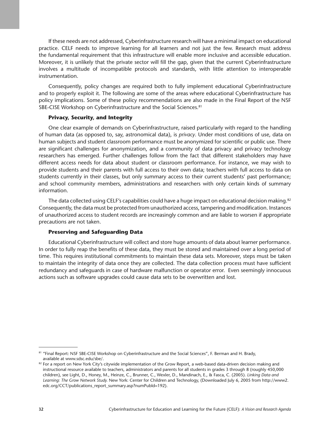If these needs are not addressed, Cyberinfrastructure research will have a minimal impact on educational practice. CELF needs to improve learning for all learners and not just the few. Research must address the fundamental requirement that this infrastructure will enable more inclusive and accessible education. Moreover, it is unlikely that the private sector will fill the gap, given that the current Cyberinfrastructure involves a multitude of incompatible protocols and standards, with little attention to interoperable instrumentation.

Consequently, policy changes are required both to fully implement educational Cyberinfrastructure and to properly exploit it. The following are some of the areas where educational Cyberinfrastructure has policy implications. Some of these policy recommendations are also made in the Final Report of the NSF SBE-CISE Workshop on Cyberinfrastructure and the Social Sciences.<sup>81</sup>

#### **Privacy, Security, and Integrity**

One clear example of demands on Cyberinfrastructure, raised particularly with regard to the handling of human data (as opposed to, say, astronomical data), is *privacy*. Under most conditions of use, data on human subjects and student classroom performance must be anonymized for scientific or public use. There are significant challenges for anonymization, and a community of data privacy and privacy technology researchers has emerged. Further challenges follow from the fact that different stakeholders may have different access needs for data about student or classroom performance. For instance, we may wish to provide students and their parents with full access to their own data; teachers with full access to data on students currently in their classes, but only summary access to their current students' past performance; and school community members, administrations and researchers with only certain kinds of summary information.

The data collected using CELF's capabilities could have a huge impact on educational decision making.<sup>82</sup> Consequently, the data must be protected from unauthorized access, tampering and modification. Instances of unauthorized access to student records are increasingly common and are liable to worsen if appropriate precautions are not taken.

#### **Preserving and Safeguarding Data**

Educational Cyberinfrastructure will collect and store huge amounts of data about learner performance. In order to fully reap the benefits of these data, they must be stored and maintained over a long period of time. This requires institutional commitments to maintain these data sets. Moreover, steps must be taken to maintain the integrity of data once they are collected. The data collection process must have sufficient redundancy and safeguards in case of hardware malfunction or operator error. Even seemingly innocuous actions such as software upgrades could cause data sets to be overwritten and lost.

<sup>81 &</sup>quot;Final Report: NSF SBE-CISE Workshop on Cyberinfrastructure and the Social Sciences", F. Berman and H. Brady, available at www.sdsc.edu/sbe/.

<sup>82</sup> For a report on New York City's citywide implementation of the Grow Report, a web-based data-driven decision making and instructional resource available to teachers, administrators and parents for all students in grades 3 through 8 (roughly 450,000 children), see Light, D., Honey, M., Heinze, C., Brunner, C., Wexler, D., Mandinach, E., & Fasca, C. (2005). *Linking Data and Learning: The Grow Network Study.* New York: Center for Children and Technology, (Downloaded July 6, 2005 from http://www2. edc.org/CCT/publications\_report\_summary.asp?numPubld=192).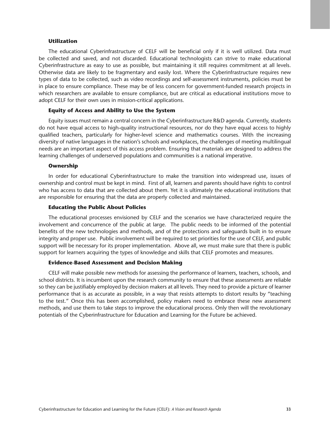#### **Utilization**

The educational Cyberinfrastructure of CELF will be beneficial only if it is well utilized. Data must be collected and saved, and not discarded. Educational technologists can strive to make educational Cyberinfrastructure as easy to use as possible, but maintaining it still requires commitment at all levels. Otherwise data are likely to be fragmentary and easily lost. Where the Cyberinfrastructure requires new types of data to be collected, such as video recordings and self-assessment instruments, policies must be in place to ensure compliance. These may be of less concern for government-funded research projects in which researchers are available to ensure compliance, but are critical as educational institutions move to adopt CELF for their own uses in mission-critical applications.

#### **Equity of Access and Ability to Use the System**

Equity issues must remain a central concern in the Cyberinfrastructure R&D agenda. Currently, students do not have equal access to high-quality instructional resources, nor do they have equal access to highly qualified teachers, particularly for higher-level science and mathematics courses. With the increasing diversity of native languages in the nation's schools and workplaces, the challenges of meeting multilingual needs are an important aspect of this access problem. Ensuring that materials are designed to address the learning challenges of underserved populations and communities is a national imperative.

#### **Ownership**

In order for educational Cyberinfrastructure to make the transition into widespread use, issues of ownership and control must be kept in mind. First of all, learners and parents should have rights to control who has access to data that are collected about them. Yet it is ultimately the educational institutions that are responsible for ensuring that the data are properly collected and maintained.

#### **Educating the Public About Policies**

The educational processes envisioned by CELF and the scenarios we have characterized require the involvement and concurrence of the public at large. The public needs to be informed of the potential benefits of the new technologies and methods, and of the protections and safeguards built in to ensure integrity and proper use. Public involvement will be required to set priorities for the use of CELF, and public support will be necessary for its proper implementation. Above all, we must make sure that there is public support for learners acquiring the types of knowledge and skills that CELF promotes and measures.

#### **Evidence**-**Based Assessment and Decision Making**

CELF will make possible new methods for assessing the performance of learners, teachers, schools, and school districts. It is incumbent upon the research community to ensure that these assessments are reliable so they can be justifiably employed by decision makers at all levels. They need to provide a picture of learner performance that is as accurate as possible, in a way that resists attempts to distort results by "teaching to the test." Once this has been accomplished, policy makers need to embrace these new assessment methods, and use them to take steps to improve the educational process. Only then will the revolutionary potentials of the Cyberinfrastructure for Education and Learning for the Future be achieved.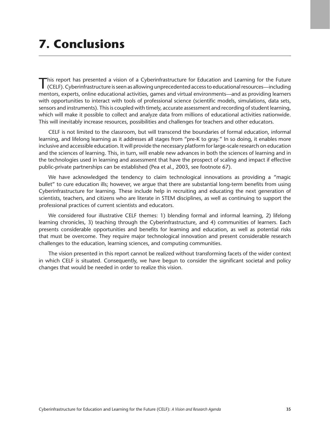### **7. Conclusions**

This report has presented a vision of a Cyberinfrastructure for Education and Learning for the Future (CELF). Cyberinfrastructure is seen as allowing unprecedented access to educational resources—including mentors, experts, online educational activities, games and virtual environments—and as providing learners with opportunities to interact with tools of professional science (scientific models, simulations, data sets, sensors and instruments). This is coupled with timely, accurate assessment and recording of student learning, which will make it possible to collect and analyze data from millions of educational activities nationwide. This will inevitably increase resources, possibilities and challenges for teachers and other educators.

CELF is not limited to the classroom, but will transcend the boundaries of formal education, informal learning, and lifelong learning as it addresses all stages from "pre-K to gray." In so doing, it enables more inclusive and accessible education. It will provide the necessary platform for large-scale research on education and the sciences of learning. This, in turn, will enable new advances in both the sciences of learning and in the technologies used in learning and assessment that have the prospect of scaling and impact if effective public-private partnerships can be established (Pea et al., 2003, see footnote 67).

We have acknowledged the tendency to claim technological innovations as providing a "magic bullet" to cure education ills; however, we argue that there are substantial long-term benefits from using Cyberinfrastructure for learning. These include help in recruiting and educating the next generation of scientists, teachers, and citizens who are literate in STEM disciplines, as well as continuing to support the professional practices of current scientists and educators.

We considered four illustrative CELF themes: 1) blending formal and informal learning, 2) lifelong learning chronicles, 3) teaching through the Cyberinfrastructure, and 4) communities of learners. Each presents considerable opportunities and benefits for learning and education, as well as potential risks that must be overcome. They require major technological innovation and present considerable research challenges to the education, learning sciences, and computing communities.

The vision presented in this report cannot be realized without transforming facets of the wider context in which CELF is situated. Consequently, we have begun to consider the significant societal and policy changes that would be needed in order to realize this vision.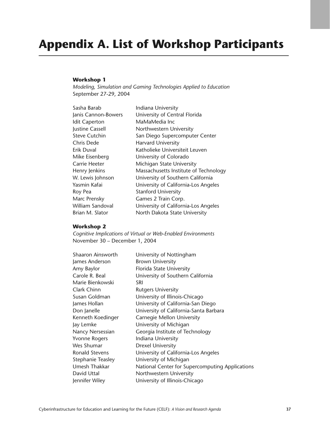### **Appendix A. List of Workshop Participants**

#### **Workshop 1**

*Modeling, Simulation and Gaming Technologies Applied to Education* September 27-29, 2004

| Sasha Barab          | Indiana University                    |
|----------------------|---------------------------------------|
| Janis Cannon-Bowers  | University of Central Florida         |
| <b>Idit Caperton</b> | MaMaMedia Inc                         |
| Justine Cassell      | Northwestern University               |
| <b>Steve Cutchin</b> | San Diego Supercomputer Center        |
| Chris Dede           | <b>Harvard University</b>             |
| Erik Duval           | Katholieke Universiteit Leuven        |
| Mike Eisenberg       | University of Colorado                |
| Carrie Heeter        | Michigan State University             |
| Henry Jenkins        | Massachusetts Institute of Technology |
| W. Lewis Johnson     | University of Southern California     |
| Yasmin Kafai         | University of California-Los Angeles  |
| Roy Pea              | <b>Stanford University</b>            |
| Marc Prensky         | Games 2 Train Corp.                   |
| William Sandoval     | University of California-Los Angeles  |
| Brian M. Slator      | North Dakota State University         |
|                      |                                       |

#### **Workshop 2**

*Cognitive Implications of Virtual or Web-Enabled Environments* November 30 – December 1, 2004

| Shaaron Ainsworth     | University of Nottingham                        |
|-----------------------|-------------------------------------------------|
| James Anderson        | <b>Brown University</b>                         |
| Amy Baylor            | Florida State University                        |
| Carole R. Beal        | University of Southern California               |
| Marie Bienkowski      | SRI                                             |
| Clark Chinn           | <b>Rutgers University</b>                       |
| Susan Goldman         | University of Illinois-Chicago                  |
| James Hollan          | University of California-San Diego              |
| Don Janelle           | University of California-Santa Barbara          |
| Kenneth Koedinger     | Carnegie Mellon University                      |
| Jay Lemke             | University of Michigan                          |
| Nancy Nersessian      | Georgia Institute of Technology                 |
| Yvonne Rogers         | Indiana University                              |
| Wes Shumar            | <b>Drexel University</b>                        |
| <b>Ronald Stevens</b> | University of California-Los Angeles            |
| Stephanie Teasley     | University of Michigan                          |
| Umesh Thakkar         | National Center for Supercomputing Applications |
| David Uttal           | Northwestern University                         |
| Jennifer Wiley        | University of Illinois-Chicago                  |
|                       |                                                 |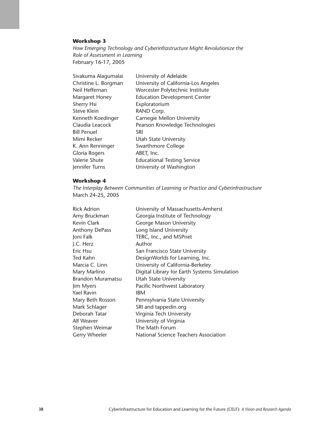#### **Workshop 3**

*How Emerging Technology and Cyberinfrastructure Might Revolutionize the Role of Assessment in Learning* February 16-17, 2005

| Sivakuma Alagumalai  | University of Adelaide               |
|----------------------|--------------------------------------|
| Christine L. Borgman | University of California-Los Angeles |
| Neil Heffernan       | Worcester Polytechnic Institute      |
| Margaret Honey       | <b>Education Development Center</b>  |
| Sherry Hsi           | Exploratorium                        |
| Steve Klein          | RAND Corp.                           |
| Kenneth Koedinger    | Carnegie Mellon University           |
| Claudia Leacock      | Pearson Knowledge Technologies       |
| <b>Bill Penuel</b>   | SRI                                  |
| Mimi Recker          | <b>Utah State University</b>         |
| K. Ann Renninger     | Swarthmore College                   |
| Gloria Rogers        | ABET, Inc.                           |
| Valerie Shute        | <b>Educational Testing Service</b>   |
| Jennifer Turns       | University of Washington             |

#### **Workshop 4**

*The Interplay Between Communities of Learning or Practice and Cyberinfrastructure* March 24-25, 2005

| <b>Rick Adrion</b>    | University of Massachusetts-Amherst          |
|-----------------------|----------------------------------------------|
| Amy Bruckman          | Georgia Institute of Technology              |
| Kevin Clark           | <b>George Mason University</b>               |
| <b>Anthony DePass</b> | Long Island University                       |
| Joni Falk             | TERC, Inc., and MSPnet                       |
| J.C. Herz             | Author                                       |
| Eric Hsu              | San Francisco State University               |
| Ted Kahn              | DesignWorlds for Learning, Inc.              |
| Marcia C. Linn        | University of California-Berkeley            |
| Mary Marlino          | Digital Library for Earth Systems Simulation |
| Brandon Muramatsu     | <b>Utah State University</b>                 |
| Jim Myers             | Pacific Northwest Laboratory                 |
| Yael Ravin            | IBM                                          |
| Mary Beth Rosson      | Pennsylvania State University                |
| Mark Schlager         | SRI and tappedin.org                         |
| Deborah Tatar         | Virginia Tech University                     |
| Alf Weaver            | University of Virginia                       |
| Stephen Weimar        | The Math Forum                               |
| Gerry Wheeler         | National Science Teachers Association        |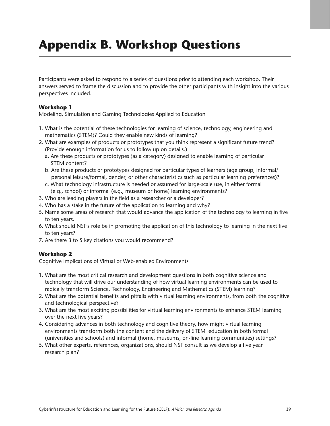# **Appendix B. Workshop Questions**

Participants were asked to respond to a series of questions prior to attending each workshop. Their answers served to frame the discussion and to provide the other participants with insight into the various perspectives included.

#### **Workshop 1**

Modeling, Simulation and Gaming Technologies Applied to Education

- 1. What is the potential of these technologies for learning of science, technology, engineering and mathematics (STEM)? Could they enable new kinds of learning?
- 2. What are examples of products or prototypes that you think represent a significant future trend? (Provide enough information for us to follow up on details.)
	- a. Are these products or prototypes (as a category) designed to enable learning of particular STEM content?
	- b. Are these products or prototypes designed for particular types of learners (age group, informal/ personal leisure/formal, gender, or other characteristics such as particular learning preferences)?
	- c. What technology infrastructure is needed or assumed for large-scale use, in either formal (e.g., school) or informal (e.g., museum or home) learning environments?
- 3. Who are leading players in the field as a researcher or a developer?
- 4. Who has a stake in the future of the application to learning and why?
- 5. Name some areas of research that would advance the application of the technology to learning in five to ten years.
- 6. What should NSF's role be in promoting the application of this technology to learning in the next five to ten years?
- 7. Are there 3 to 5 key citations you would recommend?

#### **Workshop 2**

Cognitive Implications of Virtual or Web-enabled Environments

- 1. What are the most critical research and development questions in both cognitive science and technology that will drive our understanding of how virtual learning environments can be used to radically transform Science, Technology, Engineering and Mathematics (STEM) learning?
- 2. What are the potential benefits and pitfalls with virtual learning environments, from both the cognitive and technological perspective?
- 3. What are the most exciting possibilities for virtual learning environments to enhance STEM learning over the next five years?
- 4. Considering advances in both technology and cognitive theory, how might virtual learning environments transform both the content and the delivery of STEM education in both formal (universities and schools) and informal (home, museums, on-line learning communities) settings?
- 5. What other experts, references, organizations, should NSF consult as we develop a five year research plan?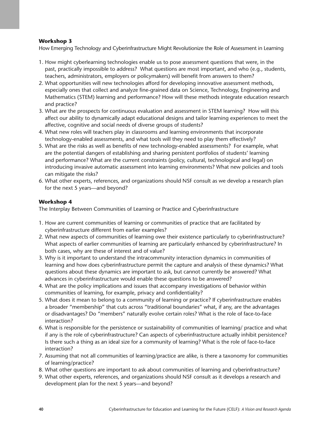#### **Workshop 3**

How Emerging Technology and Cyberinfrastructure Might Revolutionize the Role of Assessment in Learning

- 1. How might cyberlearning technologies enable us to pose assessment questions that were, in the past, practically impossible to address? What questions are most important, and who (e.g., students, teachers, administrators, employers or policymakers) will benefit from answers to them?
- 2. What opportunities will new technologies afford for developing innovative assessment methods, especially ones that collect and analyze fine-grained data on Science, Technology, Engineering and Mathematics (STEM) learning and performance? How will these methods integrate education research and practice?
- 3. What are the prospects for continuous evaluation and assessment in STEM learning? How will this affect our ability to dynamically adapt educational designs and tailor learning experiences to meet the affective, cognitive and social needs of diverse groups of students?
- 4. What new roles will teachers play in classrooms and learning environments that incorporate technology-enabled assessments, and what tools will they need to play them effectively?
- 5. What are the risks as well as benefits of new technology-enabled assessments? For example, what are the potential dangers of establishing and sharing persistent portfolios of students' learning and performance? What are the current constraints (policy, cultural, technological and legal) on introducing invasive automatic assessment into learning environments? What new policies and tools can mitigate the risks?
- 6. What other experts, references, and organizations should NSF consult as we develop a research plan for the next 5 years—and beyond?

#### **Workshop 4**

The Interplay Between Communities of Learning or Practice and Cyberinfrastructure

- 1. How are current communities of learning or communities of practice that are facilitated by cyberinfrastructure different from earlier examples?
- 2. What new aspects of communities of learning owe their existence particularly to cyberinfrastructure? What aspects of earlier communities of learning are particularly enhanced by cyberinfrastructure? In both cases, why are these of interest and of value?
- 3. Why is it important to understand the intracommunity interaction dynamics in communities of learning and how does cyberinfrastructure permit the capture and analysis of these dynamics? What questions about these dynamics are important to ask, but cannot currently be answered? What advances in cyberinfrastructure would enable these questions to be answered?
- 4. What are the policy implications and issues that accompany investigations of behavior within communities of learning, for example, privacy and confidentiality?
- 5. What does it mean to belong to a community of learning or practice? If cyberinfrastructure enables a broader "membership" that cuts across "traditional boundaries" what, if any, are the advantages or disadvantages? Do "members" naturally evolve certain roles? What is the role of face-to-face interaction?
- 6. What is responsible for the persistence or sustainability of communities of learning/ practice and what if any is the role of cyberinfrastructure? Can aspects of cyberinfrastructure actually inhibit persistence? Is there such a thing as an ideal size for a community of learning? What is the role of face-to-face interaction?
- 7. Assuming that not all communities of learning/practice are alike, is there a taxonomy for communities of learning/practice?
- 8. What other questions are important to ask about communities of learning and cyberinfrastructure?
- 9. What other experts, references, and organizations should NSF consult as it develops a research and development plan for the next 5 years—and beyond?